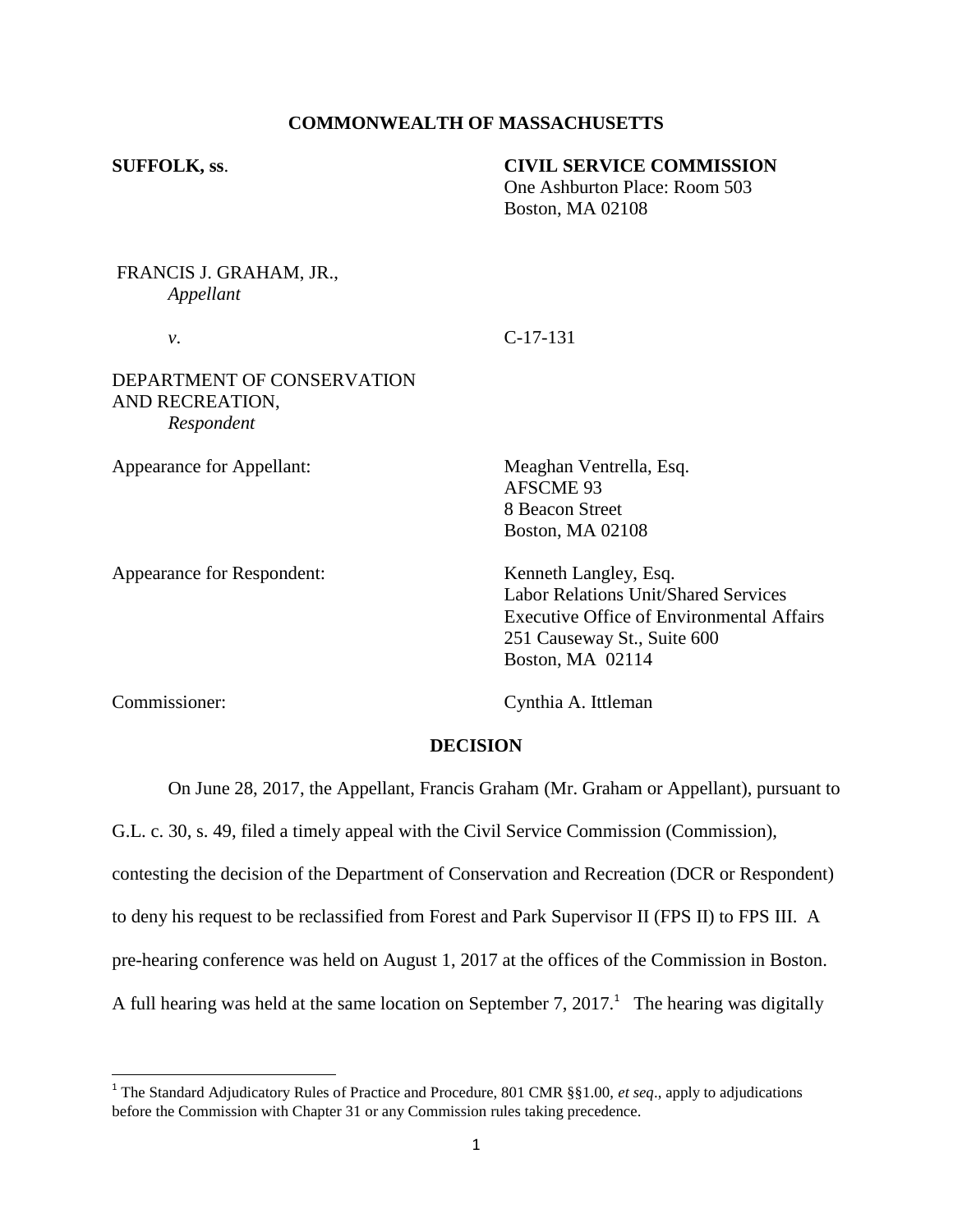## **COMMONWEALTH OF MASSACHUSETTS**

#### **SUFFOLK, ss**. **CIVIL SERVICE COMMISSION**

One Ashburton Place: Room 503 Boston, MA 02108

# FRANCIS J. GRAHAM, JR., *Appellant*

# *v*. C-17-131

## DEPARTMENT OF CONSERVATION AND RECREATION, *Respondent*

Appearance for Respondent: Kenneth Langley, Esq.

Appearance for Appellant: Meaghan Ventrella, Esq. AFSCME 93 8 Beacon Street Boston, MA 02108

> Labor Relations Unit/Shared Services Executive Office of Environmental Affairs 251 Causeway St., Suite 600 Boston, MA 02114

Commissioner: Cynthia A. Ittleman

## **DECISION**

On June 28, 2017, the Appellant, Francis Graham (Mr. Graham or Appellant), pursuant to

G.L. c. 30, s. 49, filed a timely appeal with the Civil Service Commission (Commission),

contesting the decision of the Department of Conservation and Recreation (DCR or Respondent)

to deny his request to be reclassified from Forest and Park Supervisor II (FPS II) to FPS III. A

pre-hearing conference was held on August 1, 2017 at the offices of the Commission in Boston.

A full hearing was held at the same location on September 7,  $2017<sup>1</sup>$ . The hearing was digitally

 1 The Standard Adjudicatory Rules of Practice and Procedure, 801 CMR §§1.00, *et seq*., apply to adjudications before the Commission with Chapter 31 or any Commission rules taking precedence.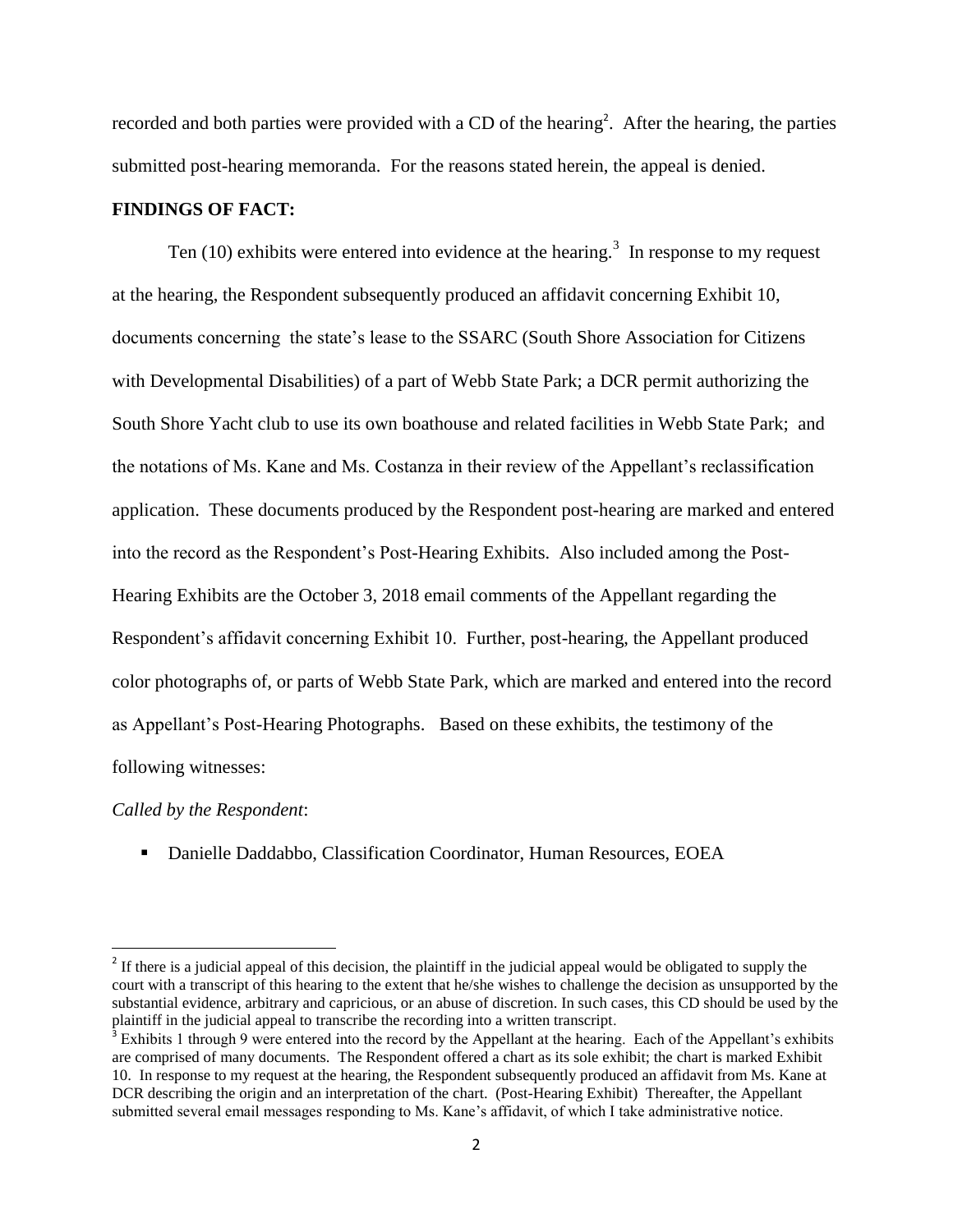recorded and both parties were provided with a CD of the hearing<sup>2</sup>. After the hearing, the parties submitted post-hearing memoranda. For the reasons stated herein, the appeal is denied.

#### **FINDINGS OF FACT:**

Ten (10) exhibits were entered into evidence at the hearing.<sup>3</sup> In response to my request at the hearing, the Respondent subsequently produced an affidavit concerning Exhibit 10, documents concerning the state's lease to the SSARC (South Shore Association for Citizens with Developmental Disabilities) of a part of Webb State Park; a DCR permit authorizing the South Shore Yacht club to use its own boathouse and related facilities in Webb State Park; and the notations of Ms. Kane and Ms. Costanza in their review of the Appellant's reclassification application. These documents produced by the Respondent post-hearing are marked and entered into the record as the Respondent's Post-Hearing Exhibits. Also included among the Post-Hearing Exhibits are the October 3, 2018 email comments of the Appellant regarding the Respondent's affidavit concerning Exhibit 10. Further, post-hearing, the Appellant produced color photographs of, or parts of Webb State Park, which are marked and entered into the record as Appellant's Post-Hearing Photographs. Based on these exhibits, the testimony of the following witnesses:

#### *Called by the Respondent*:

 $\overline{\phantom{a}}$ 

**• Danielle Daddabbo, Classification Coordinator, Human Resources, EOEA** 

<sup>&</sup>lt;sup>2</sup> If there is a judicial appeal of this decision, the plaintiff in the judicial appeal would be obligated to supply the court with a transcript of this hearing to the extent that he/she wishes to challenge the decision as unsupported by the substantial evidence, arbitrary and capricious, or an abuse of discretion. In such cases, this CD should be used by the plaintiff in the judicial appeal to transcribe the recording into a written transcript.

 $3$  Exhibits 1 through 9 were entered into the record by the Appellant at the hearing. Each of the Appellant's exhibits are comprised of many documents. The Respondent offered a chart as its sole exhibit; the chart is marked Exhibit 10. In response to my request at the hearing, the Respondent subsequently produced an affidavit from Ms. Kane at DCR describing the origin and an interpretation of the chart. (Post-Hearing Exhibit) Thereafter, the Appellant submitted several email messages responding to Ms. Kane's affidavit, of which I take administrative notice.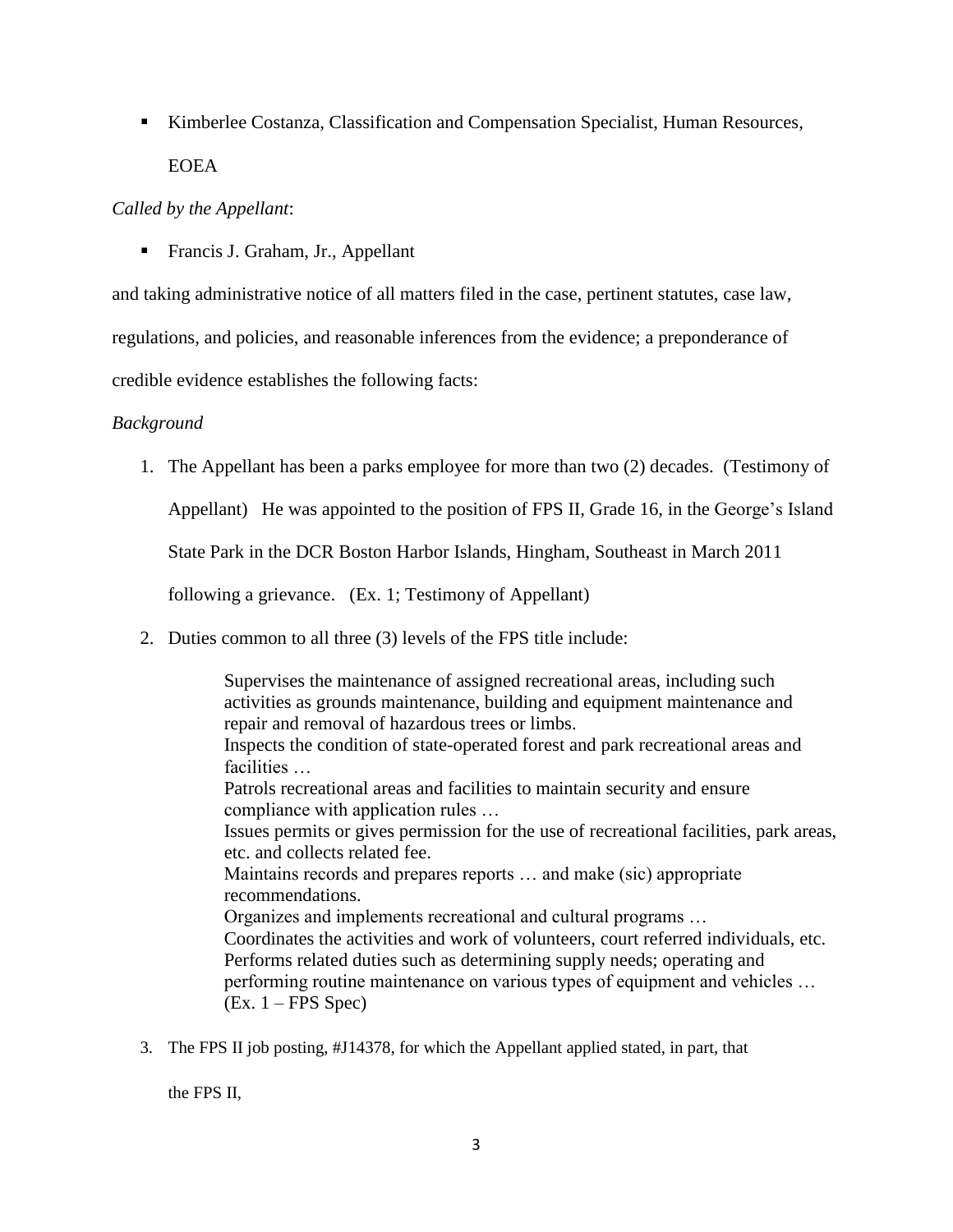Kimberlee Costanza, Classification and Compensation Specialist, Human Resources, **EOEA** 

## *Called by the Appellant*:

■ Francis J. Graham, Jr., Appellant

and taking administrative notice of all matters filed in the case, pertinent statutes, case law,

regulations, and policies, and reasonable inferences from the evidence; a preponderance of

credible evidence establishes the following facts:

## *Background*

1. The Appellant has been a parks employee for more than two (2) decades. (Testimony of

Appellant) He was appointed to the position of FPS II, Grade 16, in the George's Island

State Park in the DCR Boston Harbor Islands, Hingham, Southeast in March 2011

following a grievance. (Ex. 1; Testimony of Appellant)

2. Duties common to all three (3) levels of the FPS title include:

Supervises the maintenance of assigned recreational areas, including such activities as grounds maintenance, building and equipment maintenance and repair and removal of hazardous trees or limbs. Inspects the condition of state-operated forest and park recreational areas and facilities … Patrols recreational areas and facilities to maintain security and ensure compliance with application rules … Issues permits or gives permission for the use of recreational facilities, park areas, etc. and collects related fee. Maintains records and prepares reports … and make (sic) appropriate recommendations. Organizes and implements recreational and cultural programs … Coordinates the activities and work of volunteers, court referred individuals, etc. Performs related duties such as determining supply needs; operating and performing routine maintenance on various types of equipment and vehicles … (Ex. 1 – FPS Spec)

3. The FPS II job posting, #J14378, for which the Appellant applied stated, in part, that

the FPS II,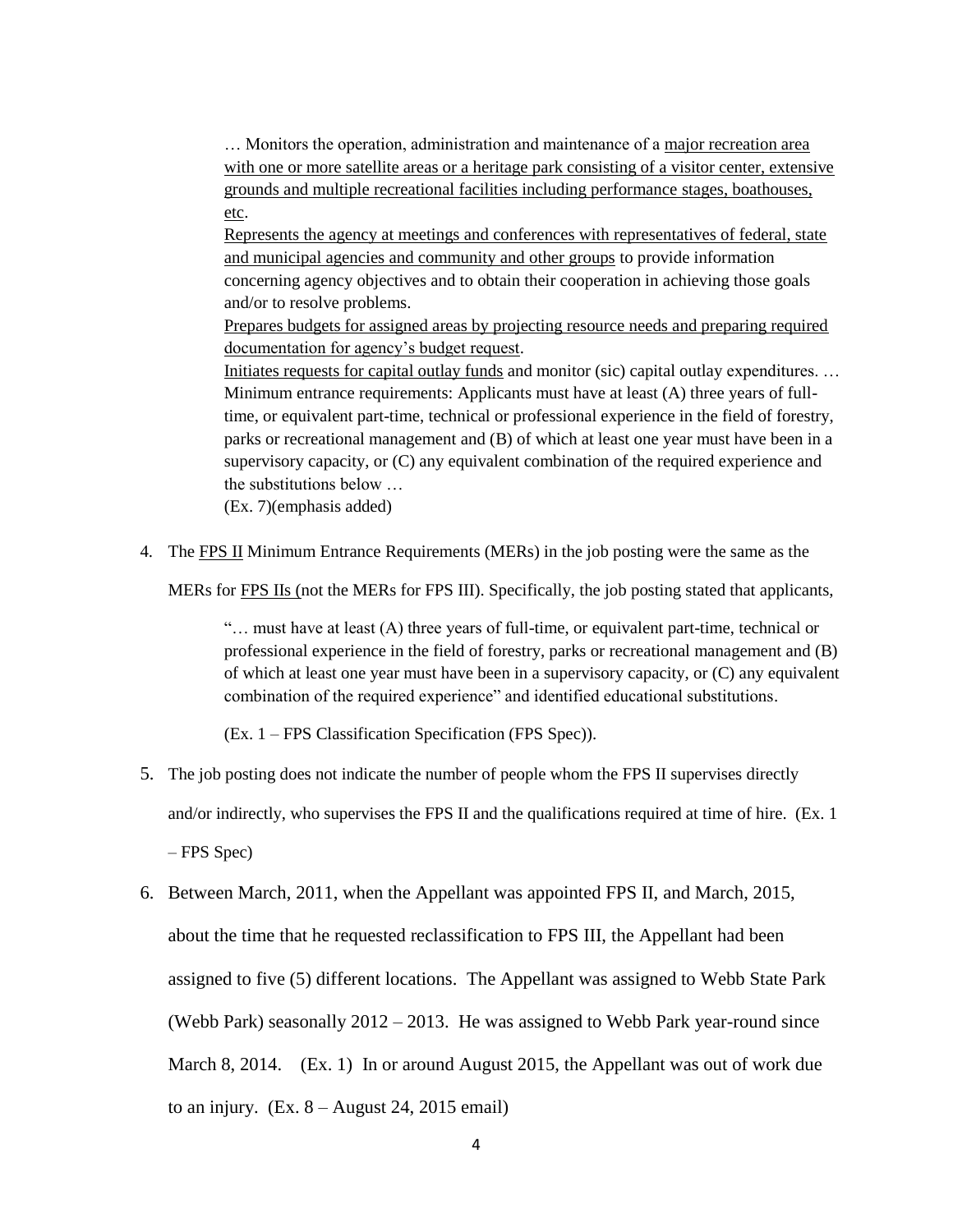... Monitors the operation, administration and maintenance of a major recreation area with one or more satellite areas or a heritage park consisting of a visitor center, extensive grounds and multiple recreational facilities including performance stages, boathouses, etc.

Represents the agency at meetings and conferences with representatives of federal, state and municipal agencies and community and other groups to provide information concerning agency objectives and to obtain their cooperation in achieving those goals and/or to resolve problems.

Prepares budgets for assigned areas by projecting resource needs and preparing required documentation for agency's budget request.

Initiates requests for capital outlay funds and monitor (sic) capital outlay expenditures. … Minimum entrance requirements: Applicants must have at least (A) three years of fulltime, or equivalent part-time, technical or professional experience in the field of forestry, parks or recreational management and (B) of which at least one year must have been in a supervisory capacity, or (C) any equivalent combination of the required experience and the substitutions below …

(Ex. 7)(emphasis added)

4. The FPS II Minimum Entrance Requirements (MERs) in the job posting were the same as the

MERs for FPS IIs (not the MERs for FPS III). Specifically, the job posting stated that applicants,

 $\ldots$  must have at least (A) three years of full-time, or equivalent part-time, technical or professional experience in the field of forestry, parks or recreational management and (B) of which at least one year must have been in a supervisory capacity, or (C) any equivalent combination of the required experience" and identified educational substitutions.

(Ex. 1 – FPS Classification Specification (FPS Spec)).

- 5. The job posting does not indicate the number of people whom the FPS II supervises directly and/or indirectly, who supervises the FPS II and the qualifications required at time of hire. (Ex. 1 – FPS Spec)
- 6. Between March, 2011, when the Appellant was appointed FPS II, and March, 2015, about the time that he requested reclassification to FPS III, the Appellant had been assigned to five (5) different locations. The Appellant was assigned to Webb State Park (Webb Park) seasonally  $2012 - 2013$ . He was assigned to Webb Park year-round since March 8, 2014. (Ex. 1) In or around August 2015, the Appellant was out of work due to an injury.  $(Ex. 8 - August 24, 2015 \text{ email})$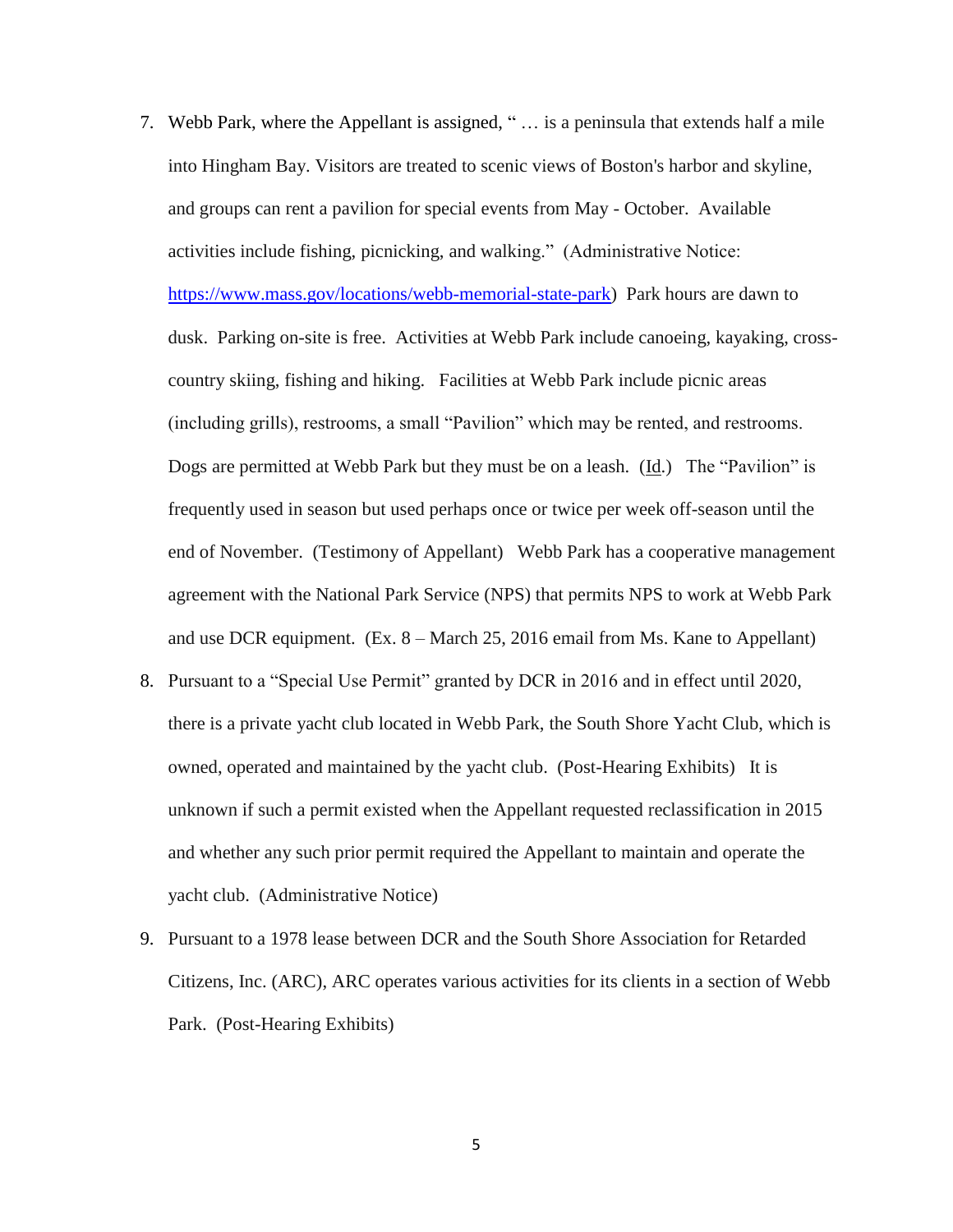- 7. Webb Park, where the Appellant is assigned, " … is a peninsula that extends half a mile into Hingham Bay. Visitors are treated to scenic views of Boston's harbor and skyline, and groups can rent a pavilion for special events from May - October. Available activities include fishing, picnicking, and walking." (Administrative Notice: [https://www.mass.gov/locations/webb-memorial-state-park\)](https://www.mass.gov/locations/webb-memorial-state-park) Park hours are dawn to dusk. Parking on-site is free. Activities at Webb Park include canoeing, kayaking, crosscountry skiing, fishing and hiking. Facilities at Webb Park include picnic areas (including grills), restrooms, a small "Pavilion" which may be rented, and restrooms. Dogs are permitted at Webb Park but they must be on a leash. (Id.) The "Pavilion" is frequently used in season but used perhaps once or twice per week off-season until the end of November. (Testimony of Appellant) Webb Park has a cooperative management agreement with the National Park Service (NPS) that permits NPS to work at Webb Park and use DCR equipment. (Ex. 8 – March 25, 2016 email from Ms. Kane to Appellant)
- 8. Pursuant to a "Special Use Permit" granted by DCR in 2016 and in effect until 2020, there is a private yacht club located in Webb Park, the South Shore Yacht Club, which is owned, operated and maintained by the yacht club. (Post-Hearing Exhibits) It is unknown if such a permit existed when the Appellant requested reclassification in 2015 and whether any such prior permit required the Appellant to maintain and operate the yacht club. (Administrative Notice)
- 9. Pursuant to a 1978 lease between DCR and the South Shore Association for Retarded Citizens, Inc. (ARC), ARC operates various activities for its clients in a section of Webb Park. (Post-Hearing Exhibits)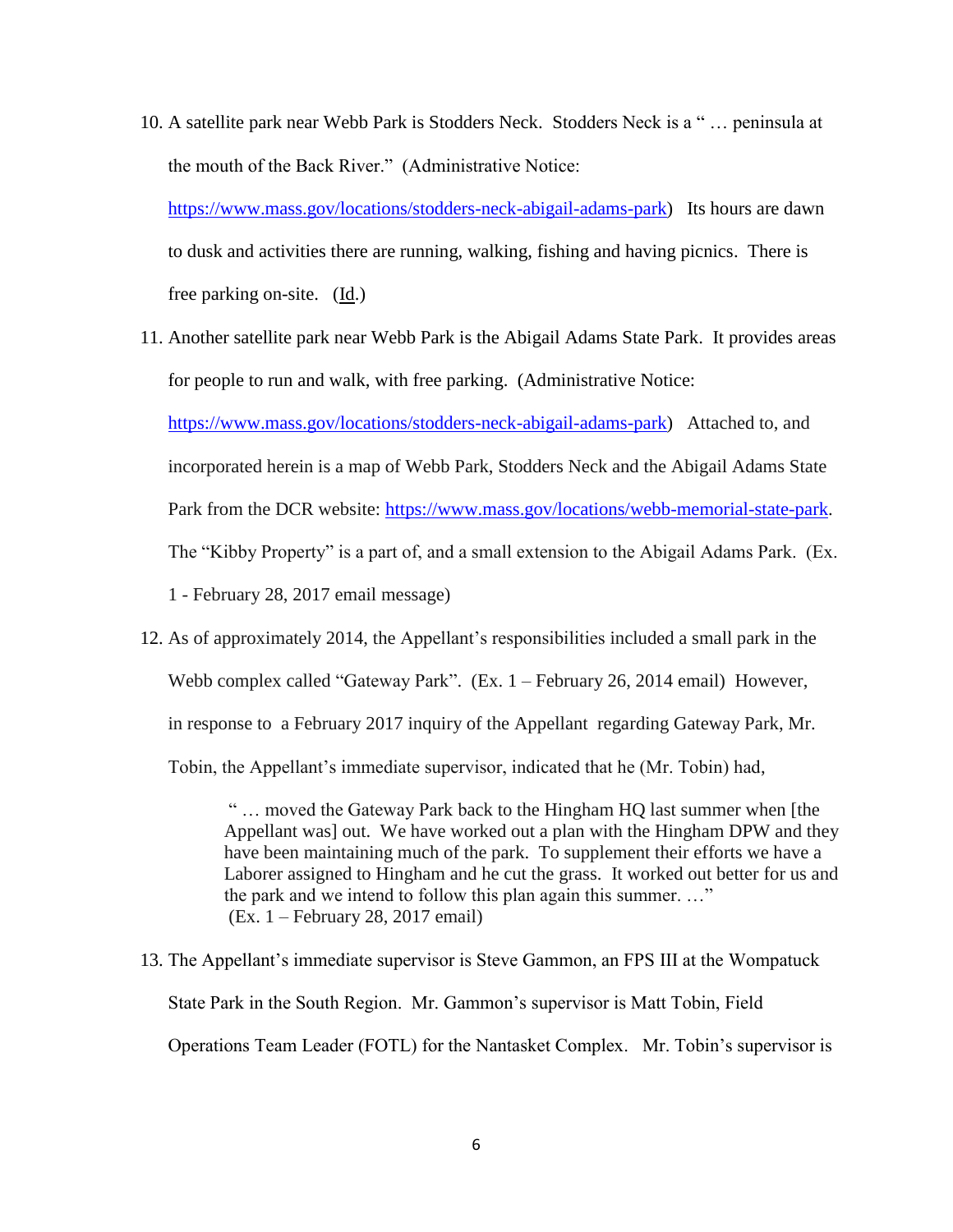10. A satellite park near Webb Park is Stodders Neck. Stodders Neck is a " … peninsula at the mouth of the Back River." (Administrative Notice:

[https://www.mass.gov/locations/stodders-neck-abigail-adams-park\)](https://www.mass.gov/locations/stodders-neck-abigail-adams-park) Its hours are dawn to dusk and activities there are running, walking, fishing and having picnics. There is free parking on-site. (Id.)

- 11. Another satellite park near Webb Park is the Abigail Adams State Park. It provides areas for people to run and walk, with free parking. (Administrative Notice: [https://www.mass.gov/locations/stodders-neck-abigail-adams-park\)](https://www.mass.gov/locations/stodders-neck-abigail-adams-park) Attached to, and incorporated herein is a map of Webb Park, Stodders Neck and the Abigail Adams State Park from the DCR website: [https://www.mass.gov/locations/webb-memorial-state-park.](https://www.mass.gov/locations/webb-memorial-state-park) The "Kibby Property" is a part of, and a small extension to the Abigail Adams Park. (Ex. 1 - February 28, 2017 email message)
- 12. As of approximately 2014, the Appellant's responsibilities included a small park in the Webb complex called "Gateway Park". (Ex. 1 – February 26, 2014 email) However, in response to a February 2017 inquiry of the Appellant regarding Gateway Park, Mr. Tobin, the Appellant's immediate supervisor, indicated that he (Mr. Tobin) had,

" … moved the Gateway Park back to the Hingham HQ last summer when [the Appellant was] out. We have worked out a plan with the Hingham DPW and they have been maintaining much of the park. To supplement their efforts we have a Laborer assigned to Hingham and he cut the grass. It worked out better for us and the park and we intend to follow this plan again this summer. …" (Ex. 1 – February 28, 2017 email)

13. The Appellant's immediate supervisor is Steve Gammon, an FPS III at the Wompatuck State Park in the South Region. Mr. Gammon's supervisor is Matt Tobin, Field Operations Team Leader (FOTL) for the Nantasket Complex. Mr. Tobin's supervisor is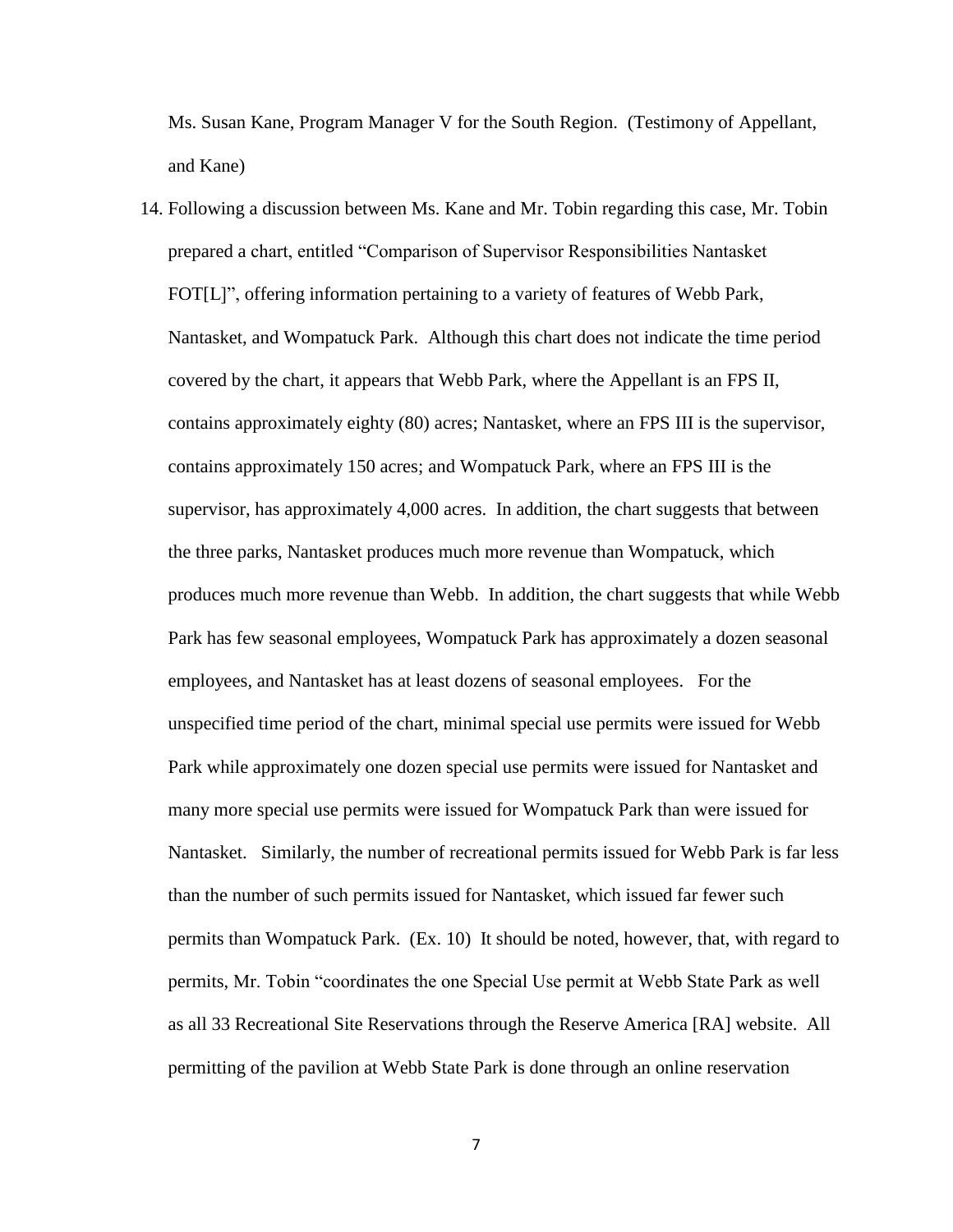Ms. Susan Kane, Program Manager V for the South Region. (Testimony of Appellant, and Kane)

14. Following a discussion between Ms. Kane and Mr. Tobin regarding this case, Mr. Tobin prepared a chart, entitled "Comparison of Supervisor Responsibilities Nantasket FOT[L]", offering information pertaining to a variety of features of Webb Park, Nantasket, and Wompatuck Park. Although this chart does not indicate the time period covered by the chart, it appears that Webb Park, where the Appellant is an FPS II, contains approximately eighty (80) acres; Nantasket, where an FPS III is the supervisor, contains approximately 150 acres; and Wompatuck Park, where an FPS III is the supervisor, has approximately 4,000 acres. In addition, the chart suggests that between the three parks, Nantasket produces much more revenue than Wompatuck, which produces much more revenue than Webb. In addition, the chart suggests that while Webb Park has few seasonal employees, Wompatuck Park has approximately a dozen seasonal employees, and Nantasket has at least dozens of seasonal employees. For the unspecified time period of the chart, minimal special use permits were issued for Webb Park while approximately one dozen special use permits were issued for Nantasket and many more special use permits were issued for Wompatuck Park than were issued for Nantasket. Similarly, the number of recreational permits issued for Webb Park is far less than the number of such permits issued for Nantasket, which issued far fewer such permits than Wompatuck Park. (Ex. 10) It should be noted, however, that, with regard to permits, Mr. Tobin "coordinates the one Special Use permit at Webb State Park as well as all 33 Recreational Site Reservations through the Reserve America [RA] website. All permitting of the pavilion at Webb State Park is done through an online reservation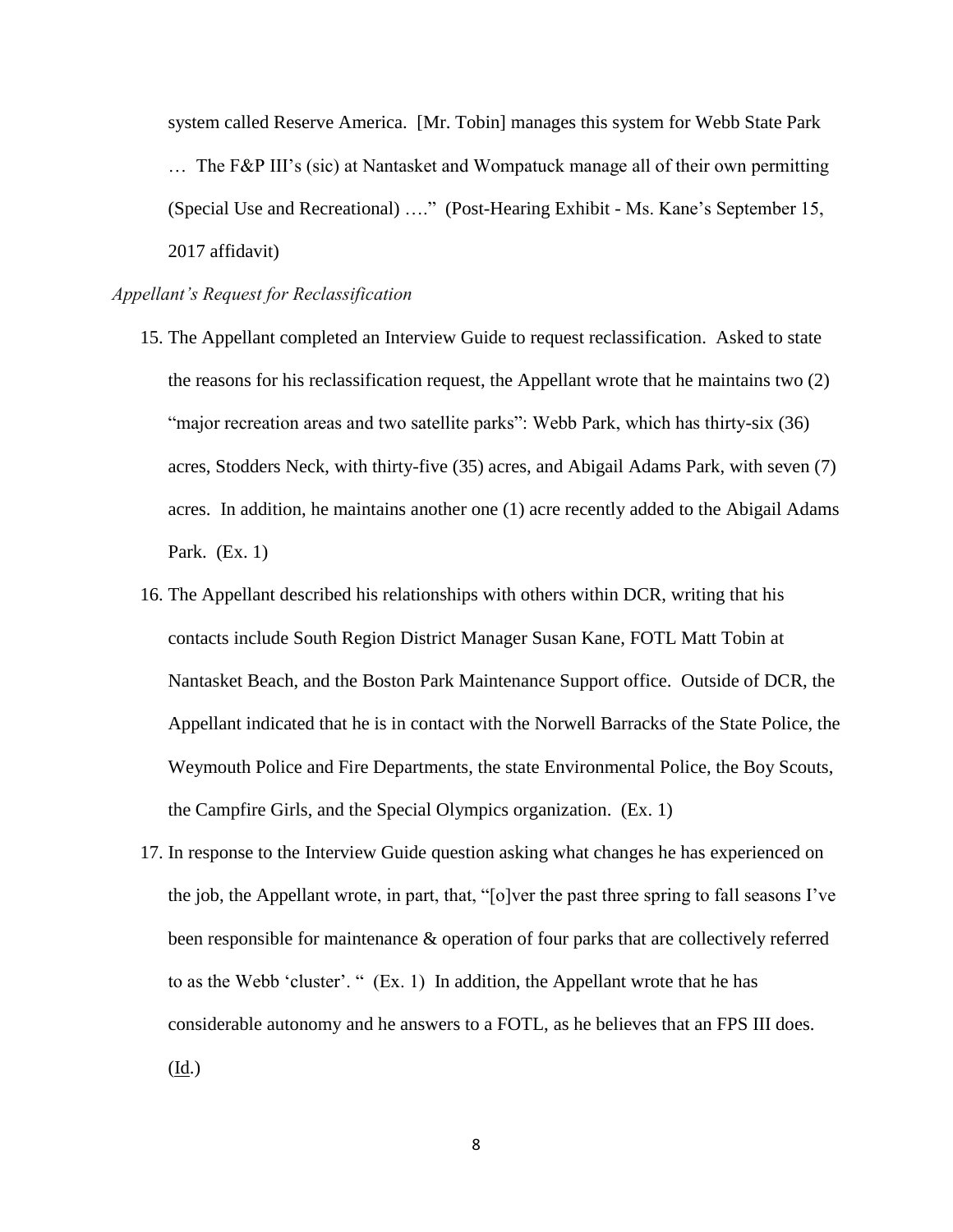system called Reserve America. [Mr. Tobin] manages this system for Webb State Park … The F&P III's (sic) at Nantasket and Wompatuck manage all of their own permitting (Special Use and Recreational) …." (Post-Hearing Exhibit - Ms. Kane's September 15, 2017 affidavit)

#### *Appellant's Request for Reclassification*

- 15. The Appellant completed an Interview Guide to request reclassification. Asked to state the reasons for his reclassification request, the Appellant wrote that he maintains two (2) "major recreation areas and two satellite parks": Webb Park, which has thirty-six (36) acres, Stodders Neck, with thirty-five (35) acres, and Abigail Adams Park, with seven (7) acres. In addition, he maintains another one (1) acre recently added to the Abigail Adams Park. (Ex. 1)
- 16. The Appellant described his relationships with others within DCR, writing that his contacts include South Region District Manager Susan Kane, FOTL Matt Tobin at Nantasket Beach, and the Boston Park Maintenance Support office. Outside of DCR, the Appellant indicated that he is in contact with the Norwell Barracks of the State Police, the Weymouth Police and Fire Departments, the state Environmental Police, the Boy Scouts, the Campfire Girls, and the Special Olympics organization. (Ex. 1)
- 17. In response to the Interview Guide question asking what changes he has experienced on the job, the Appellant wrote, in part, that, "[o]ver the past three spring to fall seasons I've been responsible for maintenance & operation of four parks that are collectively referred to as the Webb 'cluster'. " (Ex. 1) In addition, the Appellant wrote that he has considerable autonomy and he answers to a FOTL, as he believes that an FPS III does. (Id.)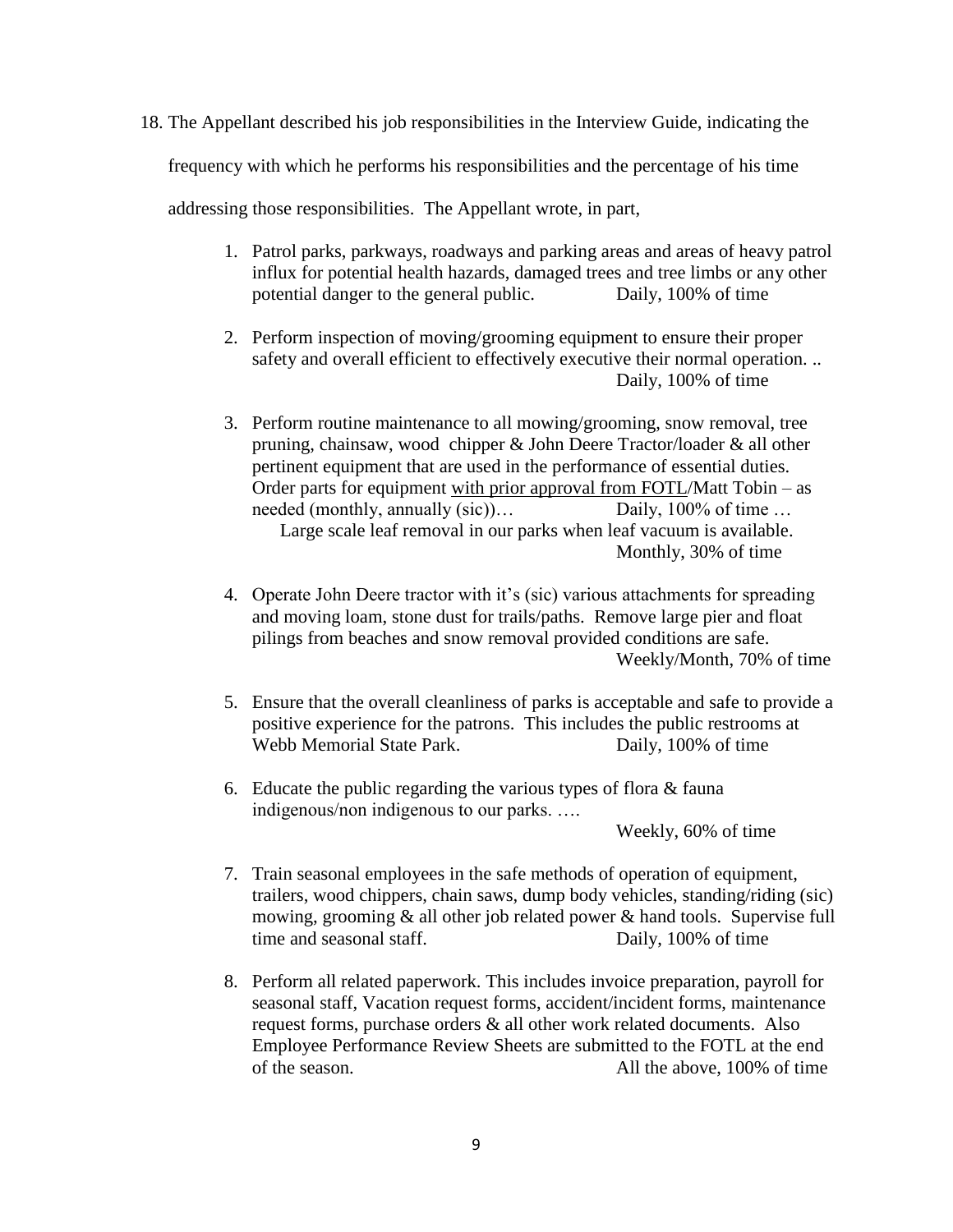18. The Appellant described his job responsibilities in the Interview Guide, indicating the frequency with which he performs his responsibilities and the percentage of his time

addressing those responsibilities. The Appellant wrote, in part,

- 1. Patrol parks, parkways, roadways and parking areas and areas of heavy patrol influx for potential health hazards, damaged trees and tree limbs or any other potential danger to the general public. Daily, 100% of time
- 2. Perform inspection of moving/grooming equipment to ensure their proper safety and overall efficient to effectively executive their normal operation. .. Daily, 100% of time
- 3. Perform routine maintenance to all mowing/grooming, snow removal, tree pruning, chainsaw, wood chipper & John Deere Tractor/loader & all other pertinent equipment that are used in the performance of essential duties. Order parts for equipment with prior approval from FOTL/Matt Tobin – as needed (monthly, annually (sic))… Daily, 100% of time ... Large scale leaf removal in our parks when leaf vacuum is available. Monthly, 30% of time
- 4. Operate John Deere tractor with it's (sic) various attachments for spreading and moving loam, stone dust for trails/paths. Remove large pier and float pilings from beaches and snow removal provided conditions are safe. Weekly/Month, 70% of time
- 5. Ensure that the overall cleanliness of parks is acceptable and safe to provide a positive experience for the patrons. This includes the public restrooms at Webb Memorial State Park. Daily, 100% of time
- 6. Educate the public regarding the various types of flora & fauna indigenous/non indigenous to our parks. ….

Weekly, 60% of time

- 7. Train seasonal employees in the safe methods of operation of equipment, trailers, wood chippers, chain saws, dump body vehicles, standing/riding (sic) mowing, grooming & all other job related power & hand tools. Supervise full time and seasonal staff. Daily, 100% of time
- 8. Perform all related paperwork. This includes invoice preparation, payroll for seasonal staff, Vacation request forms, accident/incident forms, maintenance request forms, purchase orders & all other work related documents. Also Employee Performance Review Sheets are submitted to the FOTL at the end of the season. All the above, 100% of time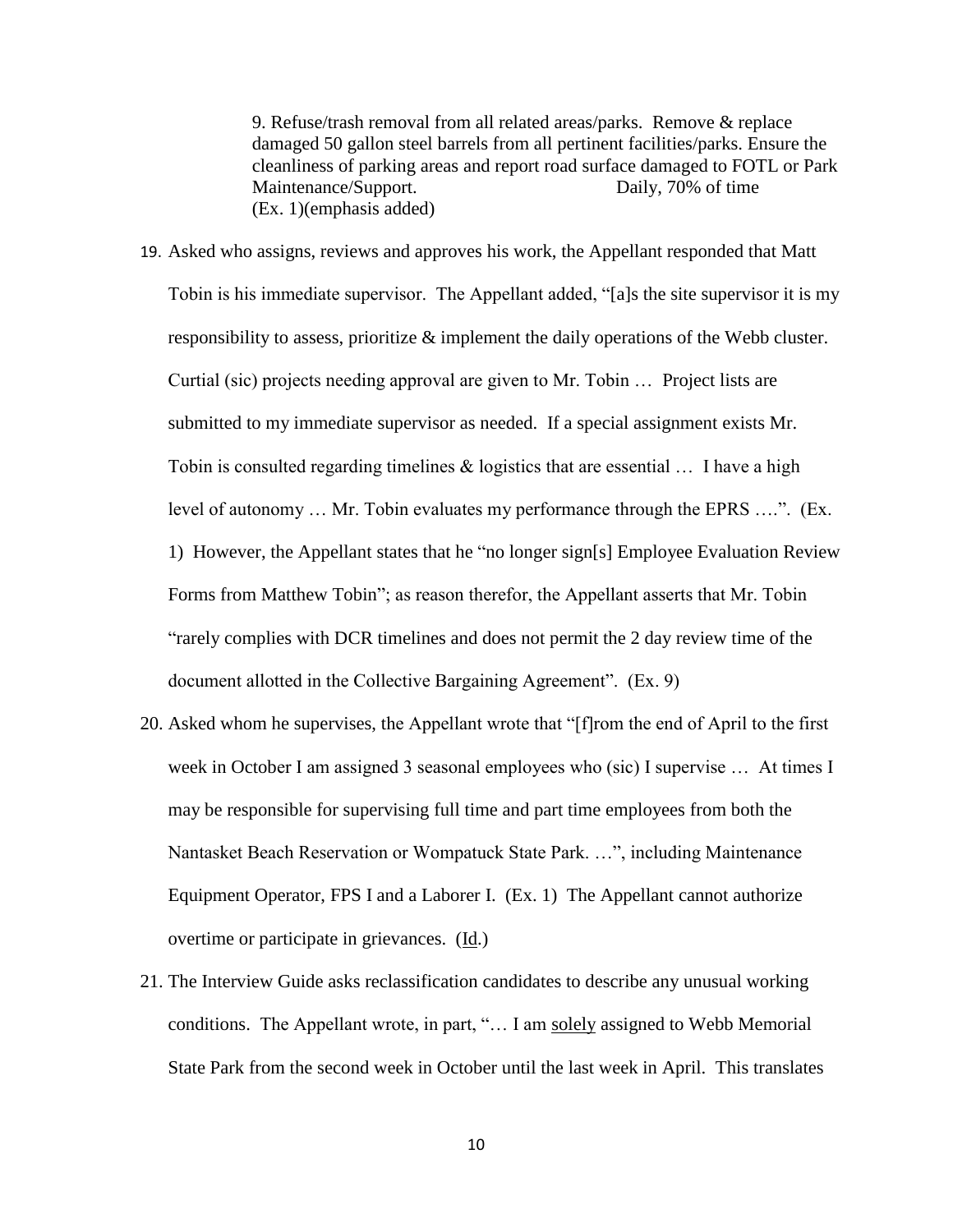9. Refuse/trash removal from all related areas/parks. Remove & replace damaged 50 gallon steel barrels from all pertinent facilities/parks. Ensure the cleanliness of parking areas and report road surface damaged to FOTL or Park Maintenance/Support. Daily, 70% of time (Ex. 1)(emphasis added)

- 19. Asked who assigns, reviews and approves his work, the Appellant responded that Matt Tobin is his immediate supervisor. The Appellant added, "[a]s the site supervisor it is my responsibility to assess, prioritize  $\&$  implement the daily operations of the Webb cluster. Curtial (sic) projects needing approval are given to Mr. Tobin … Project lists are submitted to my immediate supervisor as needed. If a special assignment exists Mr. Tobin is consulted regarding timelines  $\&$  logistics that are essential  $\ldots$  I have a high level of autonomy … Mr. Tobin evaluates my performance through the EPRS ….". (Ex. 1) However, the Appellant states that he "no longer sign[s] Employee Evaluation Review Forms from Matthew Tobin"; as reason therefor, the Appellant asserts that Mr. Tobin "rarely complies with DCR timelines and does not permit the 2 day review time of the document allotted in the Collective Bargaining Agreement". (Ex. 9)
- 20. Asked whom he supervises, the Appellant wrote that "[f]rom the end of April to the first week in October I am assigned 3 seasonal employees who (sic) I supervise … At times I may be responsible for supervising full time and part time employees from both the Nantasket Beach Reservation or Wompatuck State Park. …", including Maintenance Equipment Operator, FPS I and a Laborer I. (Ex. 1) The Appellant cannot authorize overtime or participate in grievances. (Id.)
- 21. The Interview Guide asks reclassification candidates to describe any unusual working conditions. The Appellant wrote, in part, "… I am solely assigned to Webb Memorial State Park from the second week in October until the last week in April. This translates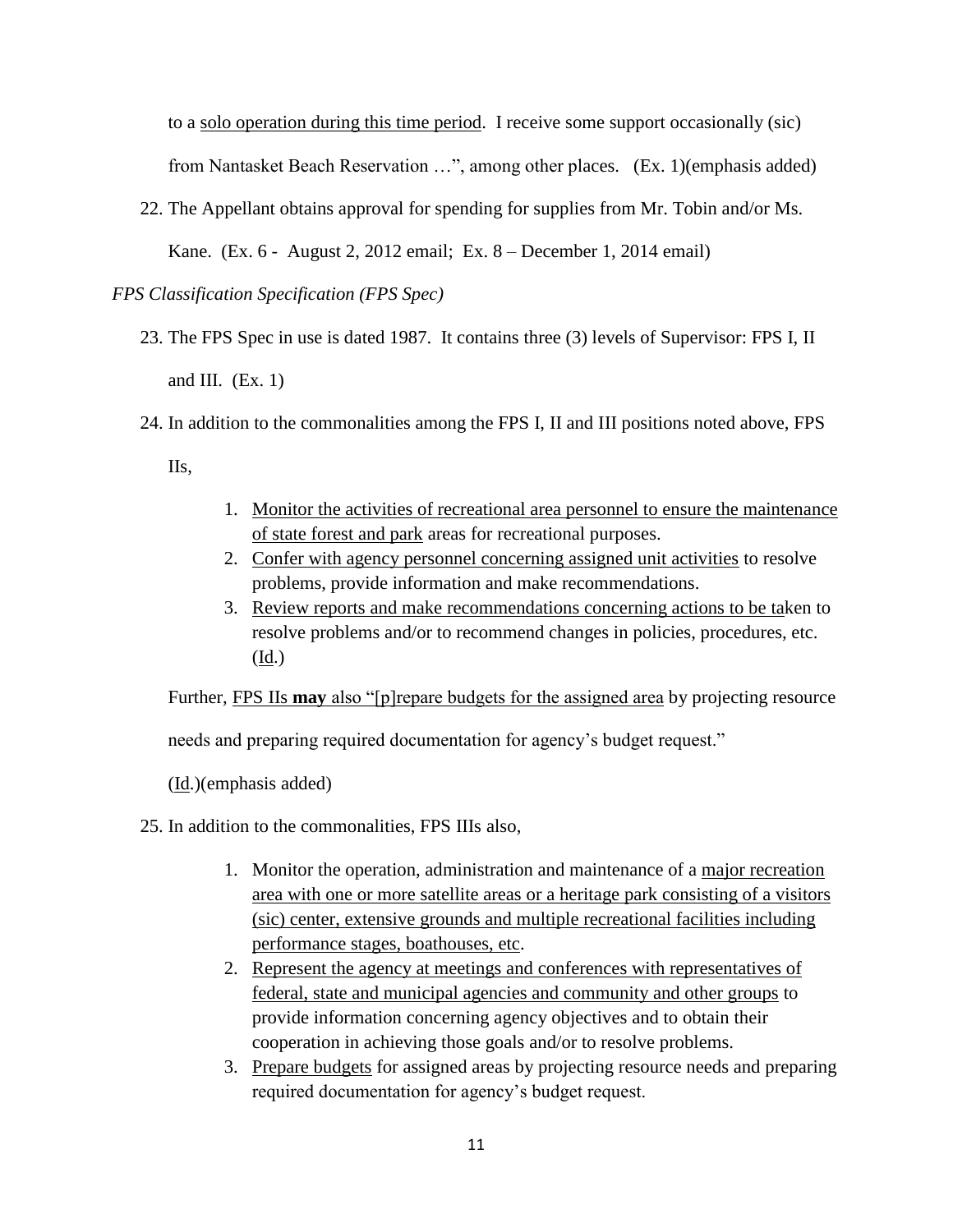to a solo operation during this time period. I receive some support occasionally (sic) from Nantasket Beach Reservation …", among other places. (Ex. 1)(emphasis added)

22. The Appellant obtains approval for spending for supplies from Mr. Tobin and/or Ms.

Kane. (Ex. 6 - August 2, 2012 email; Ex. 8 – December 1, 2014 email)

## *FPS Classification Specification (FPS Spec)*

- 23. The FPS Spec in use is dated 1987. It contains three (3) levels of Supervisor: FPS I, II and III.  $(Ex. 1)$
- 24. In addition to the commonalities among the FPS I, II and III positions noted above, FPS

IIs,

- 1. Monitor the activities of recreational area personnel to ensure the maintenance of state forest and park areas for recreational purposes.
- 2. Confer with agency personnel concerning assigned unit activities to resolve problems, provide information and make recommendations.
- 3. Review reports and make recommendations concerning actions to be taken to resolve problems and/or to recommend changes in policies, procedures, etc. (Id.)

Further, FPS IIs **may** also "[p]repare budgets for the assigned area by projecting resource

needs and preparing required documentation for agency's budget request."

(Id.)(emphasis added)

- 25. In addition to the commonalities, FPS IIIs also,
	- 1. Monitor the operation, administration and maintenance of a major recreation area with one or more satellite areas or a heritage park consisting of a visitors (sic) center, extensive grounds and multiple recreational facilities including performance stages, boathouses, etc.
	- 2. Represent the agency at meetings and conferences with representatives of federal, state and municipal agencies and community and other groups to provide information concerning agency objectives and to obtain their cooperation in achieving those goals and/or to resolve problems.
	- 3. Prepare budgets for assigned areas by projecting resource needs and preparing required documentation for agency's budget request.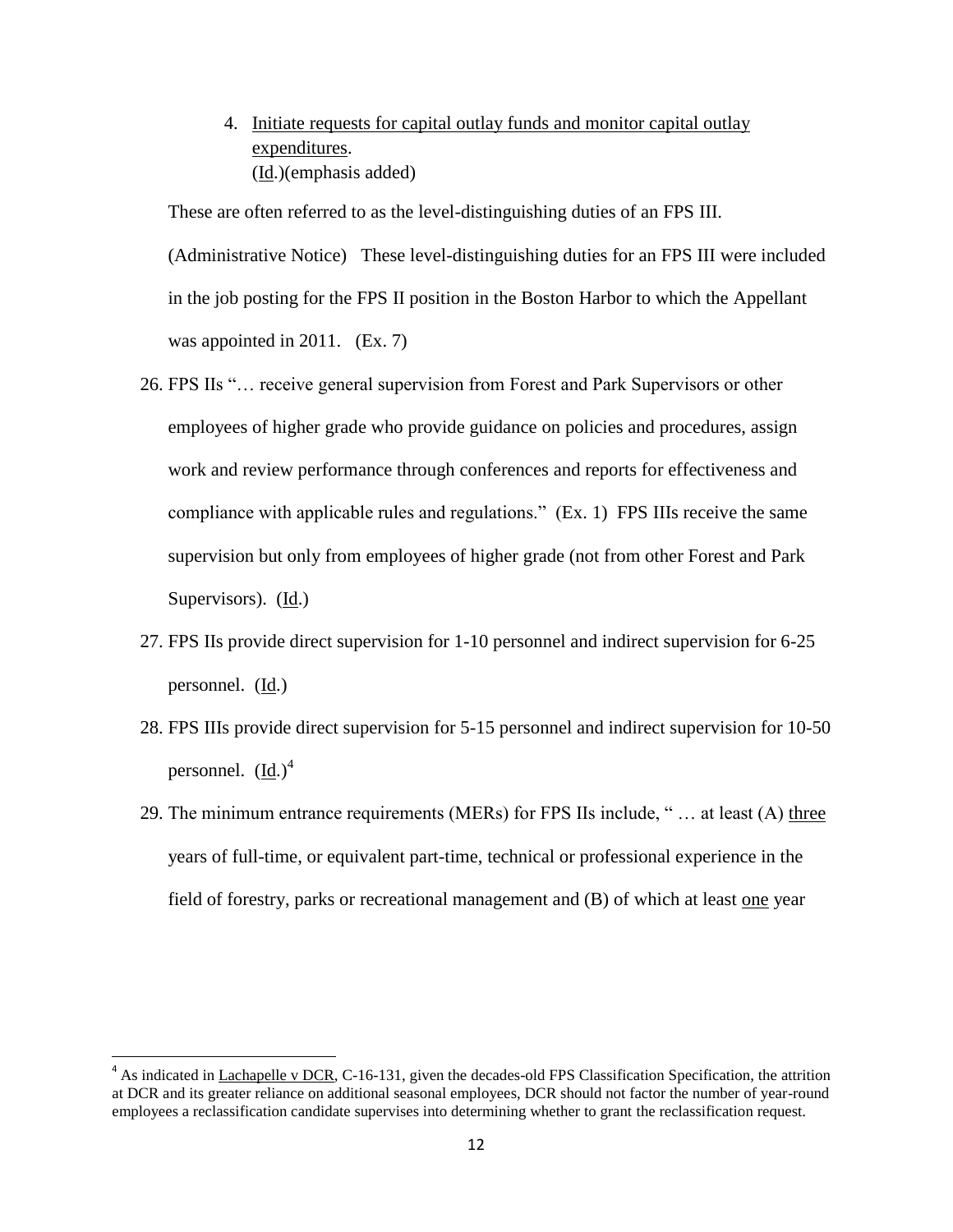4. Initiate requests for capital outlay funds and monitor capital outlay expenditures. (Id.)(emphasis added)

These are often referred to as the level-distinguishing duties of an FPS III. (Administrative Notice) These level-distinguishing duties for an FPS III were included in the job posting for the FPS II position in the Boston Harbor to which the Appellant was appointed in 2011. (Ex. 7)

- 26. FPS IIs "… receive general supervision from Forest and Park Supervisors or other employees of higher grade who provide guidance on policies and procedures, assign work and review performance through conferences and reports for effectiveness and compliance with applicable rules and regulations." (Ex. 1) FPS IIIs receive the same supervision but only from employees of higher grade (not from other Forest and Park Supervisors). (Id.)
- 27. FPS IIs provide direct supervision for 1-10 personnel and indirect supervision for 6-25 personnel. (Id.)
- 28. FPS IIIs provide direct supervision for 5-15 personnel and indirect supervision for 10-50 personnel.  $(Id.)<sup>4</sup>$
- 29. The minimum entrance requirements (MERs) for FPS IIs include, " … at least (A) three years of full-time, or equivalent part-time, technical or professional experience in the field of forestry, parks or recreational management and (B) of which at least one year

 $\overline{\phantom{a}}$ 

 $<sup>4</sup>$  As indicated in Lachapelle v DCR, C-16-131, given the decades-old FPS Classification Specification, the attrition</sup> at DCR and its greater reliance on additional seasonal employees, DCR should not factor the number of year-round employees a reclassification candidate supervises into determining whether to grant the reclassification request.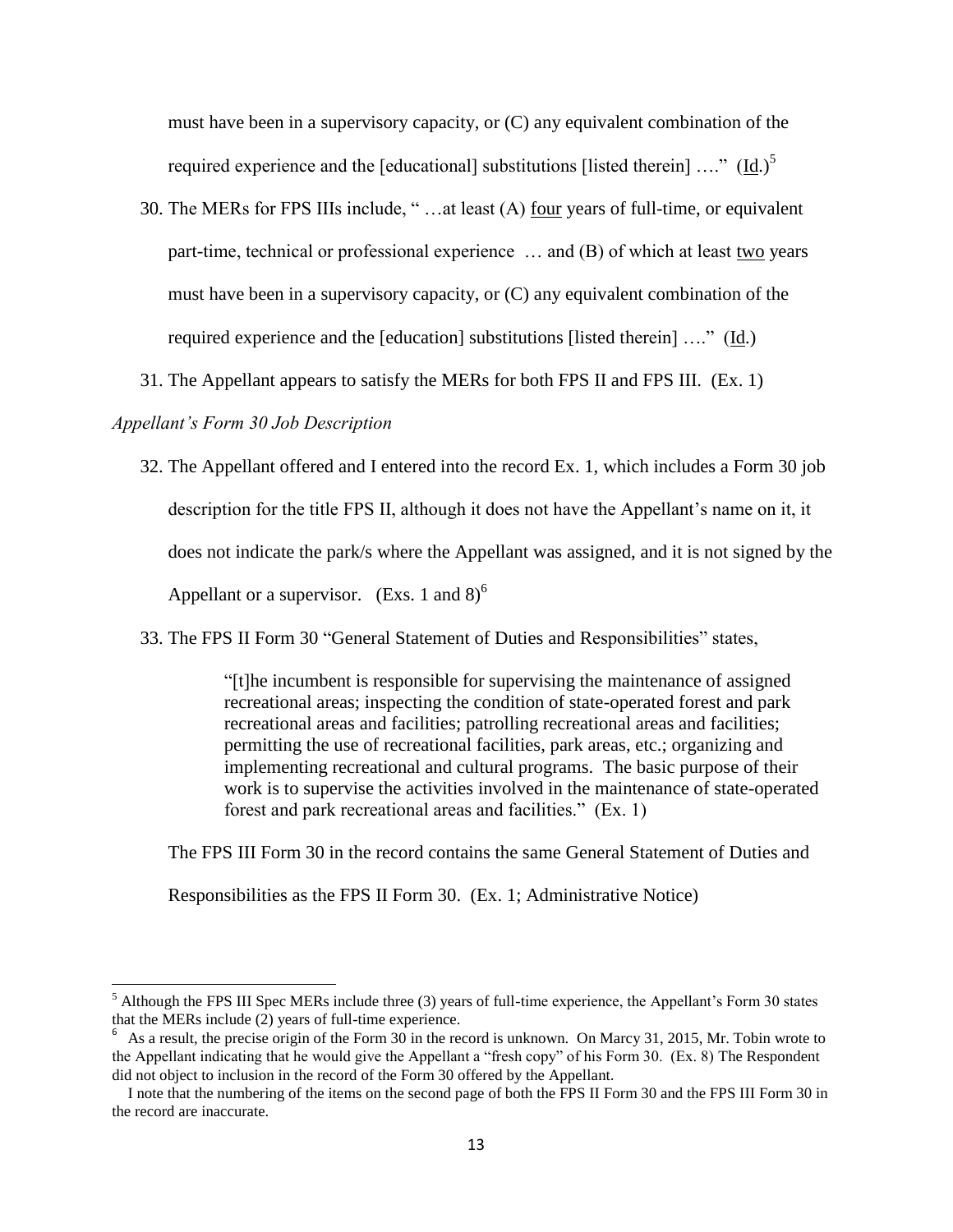must have been in a supervisory capacity, or (C) any equivalent combination of the required experience and the [educational] substitutions [listed therein]  $\dots$ " (Id.)<sup>5</sup>

- 30. The MERs for FPS IIIs include, " ...at least (A) <u>four</u> years of full-time, or equivalent part-time, technical or professional experience  $\ldots$  and (B) of which at least two years must have been in a supervisory capacity, or (C) any equivalent combination of the required experience and the [education] substitutions [listed therein] …." (Id.)
- 31. The Appellant appears to satisfy the MERs for both FPS II and FPS III. (Ex. 1)

## *Appellant's Form 30 Job Description*

 $\overline{a}$ 

- 32. The Appellant offered and I entered into the record Ex. 1, which includes a Form 30 job description for the title FPS II, although it does not have the Appellant's name on it, it does not indicate the park/s where the Appellant was assigned, and it is not signed by the Appellant or a supervisor. (Exs. 1 and  $8$ )<sup>6</sup>
- 33. The FPS II Form 30 "General Statement of Duties and Responsibilities" states,

"[t]he incumbent is responsible for supervising the maintenance of assigned recreational areas; inspecting the condition of state-operated forest and park recreational areas and facilities; patrolling recreational areas and facilities; permitting the use of recreational facilities, park areas, etc.; organizing and implementing recreational and cultural programs. The basic purpose of their work is to supervise the activities involved in the maintenance of state-operated forest and park recreational areas and facilities." (Ex. 1)

The FPS III Form 30 in the record contains the same General Statement of Duties and

Responsibilities as the FPS II Form 30. (Ex. 1; Administrative Notice)

 $<sup>5</sup>$  Although the FPS III Spec MERs include three (3) years of full-time experience, the Appellant's Form 30 states</sup> that the MERs include (2) years of full-time experience.

<sup>6</sup> As a result, the precise origin of the Form 30 in the record is unknown. On Marcy 31, 2015, Mr. Tobin wrote to the Appellant indicating that he would give the Appellant a "fresh copy" of his Form 30. (Ex. 8) The Respondent did not object to inclusion in the record of the Form 30 offered by the Appellant.

I note that the numbering of the items on the second page of both the FPS II Form 30 and the FPS III Form 30 in the record are inaccurate.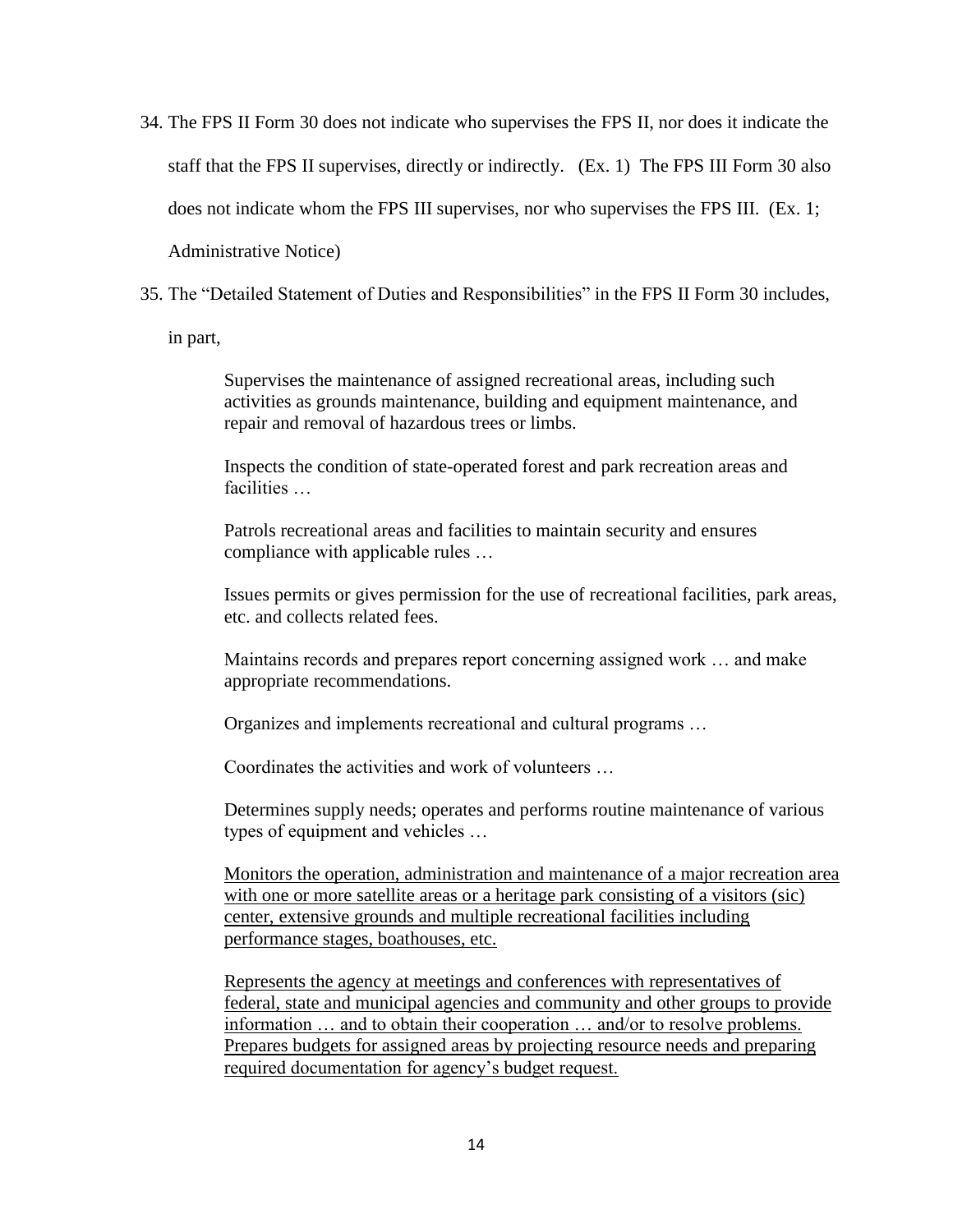- 34. The FPS II Form 30 does not indicate who supervises the FPS II, nor does it indicate the staff that the FPS II supervises, directly or indirectly. (Ex. 1) The FPS III Form 30 also does not indicate whom the FPS III supervises, nor who supervises the FPS III. (Ex. 1; Administrative Notice)
- 35. The "Detailed Statement of Duties and Responsibilities" in the FPS II Form 30 includes,

in part,

Supervises the maintenance of assigned recreational areas, including such activities as grounds maintenance, building and equipment maintenance, and repair and removal of hazardous trees or limbs.

Inspects the condition of state-operated forest and park recreation areas and facilities …

Patrols recreational areas and facilities to maintain security and ensures compliance with applicable rules …

Issues permits or gives permission for the use of recreational facilities, park areas, etc. and collects related fees.

Maintains records and prepares report concerning assigned work … and make appropriate recommendations.

Organizes and implements recreational and cultural programs …

Coordinates the activities and work of volunteers …

Determines supply needs; operates and performs routine maintenance of various types of equipment and vehicles …

Monitors the operation, administration and maintenance of a major recreation area with one or more satellite areas or a heritage park consisting of a visitors (sic) center, extensive grounds and multiple recreational facilities including performance stages, boathouses, etc.

Represents the agency at meetings and conferences with representatives of federal, state and municipal agencies and community and other groups to provide information … and to obtain their cooperation … and/or to resolve problems. Prepares budgets for assigned areas by projecting resource needs and preparing required documentation for agency's budget request.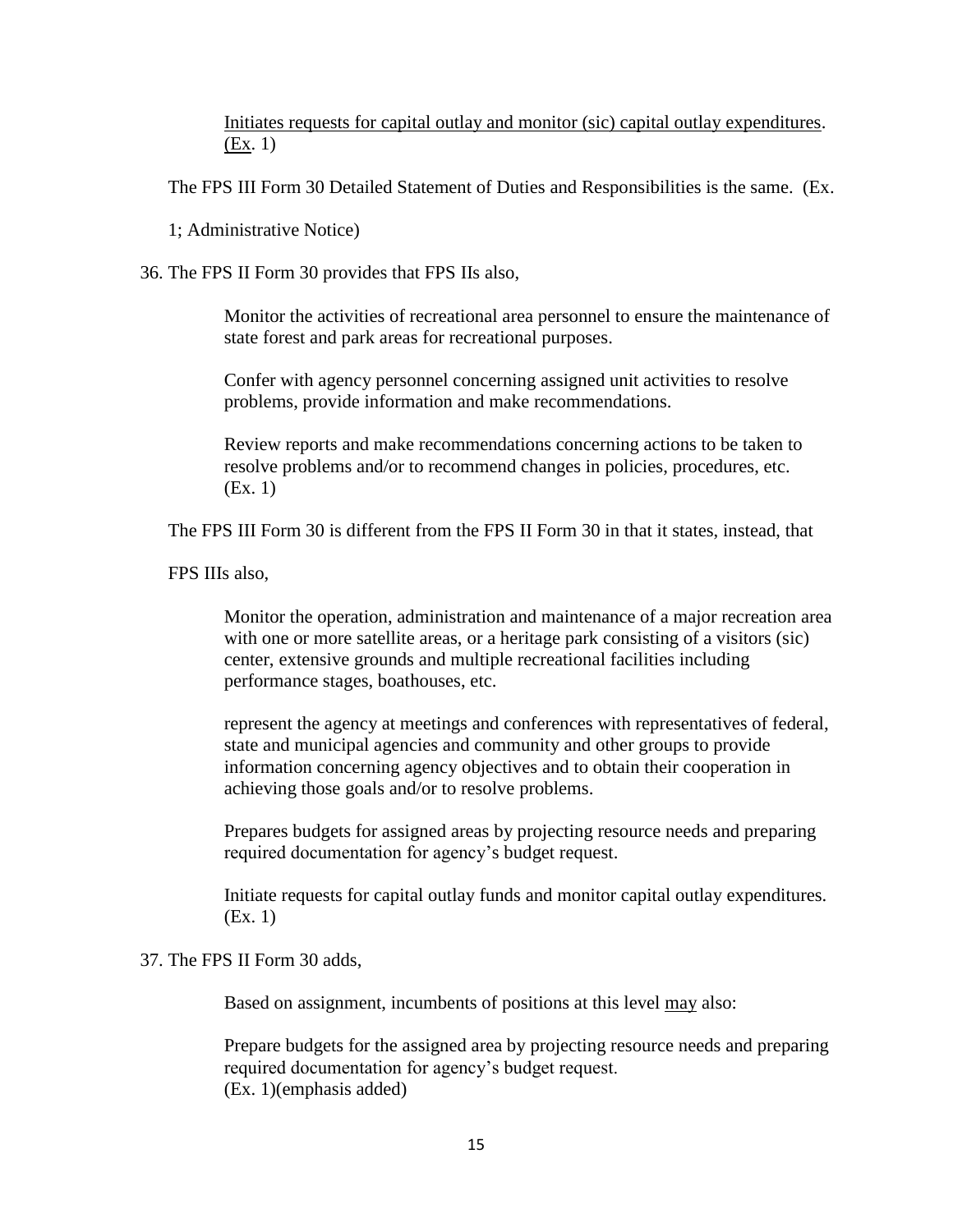Initiates requests for capital outlay and monitor (sic) capital outlay expenditures. (Ex. 1)

The FPS III Form 30 Detailed Statement of Duties and Responsibilities is the same. (Ex.

1; Administrative Notice)

36. The FPS II Form 30 provides that FPS IIs also,

Monitor the activities of recreational area personnel to ensure the maintenance of state forest and park areas for recreational purposes.

Confer with agency personnel concerning assigned unit activities to resolve problems, provide information and make recommendations.

Review reports and make recommendations concerning actions to be taken to resolve problems and/or to recommend changes in policies, procedures, etc. (Ex. 1)

The FPS III Form 30 is different from the FPS II Form 30 in that it states, instead, that

FPS IIIs also,

Monitor the operation, administration and maintenance of a major recreation area with one or more satellite areas, or a heritage park consisting of a visitors (sic) center, extensive grounds and multiple recreational facilities including performance stages, boathouses, etc.

represent the agency at meetings and conferences with representatives of federal, state and municipal agencies and community and other groups to provide information concerning agency objectives and to obtain their cooperation in achieving those goals and/or to resolve problems.

Prepares budgets for assigned areas by projecting resource needs and preparing required documentation for agency's budget request.

Initiate requests for capital outlay funds and monitor capital outlay expenditures. (Ex. 1)

## 37. The FPS II Form 30 adds,

Based on assignment, incumbents of positions at this level may also:

Prepare budgets for the assigned area by projecting resource needs and preparing required documentation for agency's budget request. (Ex. 1)(emphasis added)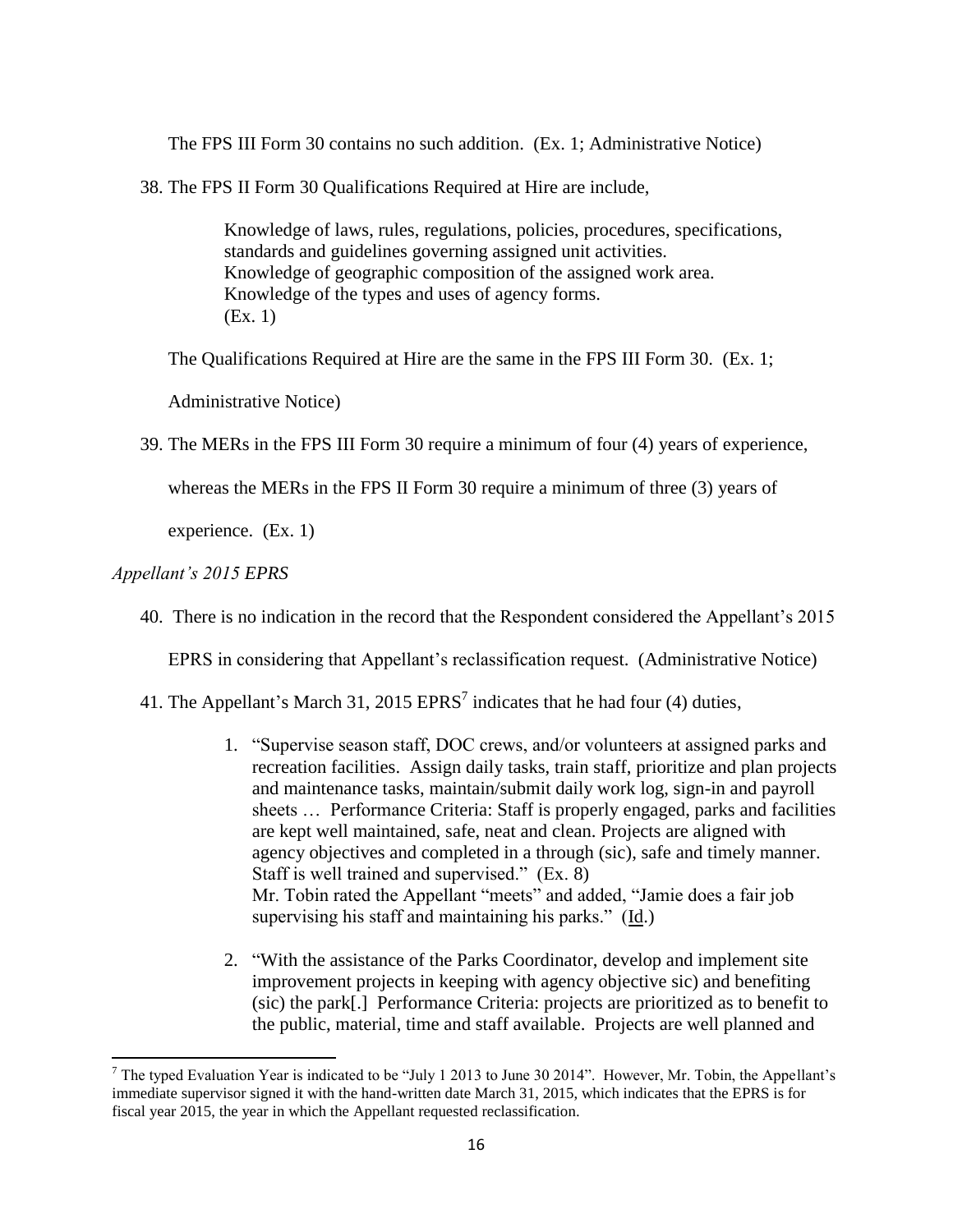The FPS III Form 30 contains no such addition. (Ex. 1; Administrative Notice)

38. The FPS II Form 30 Qualifications Required at Hire are include,

Knowledge of laws, rules, regulations, policies, procedures, specifications, standards and guidelines governing assigned unit activities. Knowledge of geographic composition of the assigned work area. Knowledge of the types and uses of agency forms. (Ex. 1)

The Qualifications Required at Hire are the same in the FPS III Form 30. (Ex. 1;

Administrative Notice)

39. The MERs in the FPS III Form 30 require a minimum of four (4) years of experience,

whereas the MERs in the FPS II Form 30 require a minimum of three (3) years of

experience. (Ex. 1)

## *Appellant's 2015 EPRS*

 $\overline{\phantom{a}}$ 

40. There is no indication in the record that the Respondent considered the Appellant's 2015

EPRS in considering that Appellant's reclassification request. (Administrative Notice)

- 41. The Appellant's March 31, 2015  $EPRS^7$  indicates that he had four (4) duties,
	- 1. "Supervise season staff, DOC crews, and/or volunteers at assigned parks and recreation facilities. Assign daily tasks, train staff, prioritize and plan projects and maintenance tasks, maintain/submit daily work log, sign-in and payroll sheets … Performance Criteria: Staff is properly engaged, parks and facilities are kept well maintained, safe, neat and clean. Projects are aligned with agency objectives and completed in a through (sic), safe and timely manner. Staff is well trained and supervised." (Ex. 8) Mr. Tobin rated the Appellant "meets" and added, "Jamie does a fair job supervising his staff and maintaining his parks." (Id.)
	- 2. "With the assistance of the Parks Coordinator, develop and implement site improvement projects in keeping with agency objective sic) and benefiting (sic) the park[.] Performance Criteria: projects are prioritized as to benefit to the public, material, time and staff available. Projects are well planned and

<sup>&</sup>lt;sup>7</sup> The typed Evaluation Year is indicated to be "July 1 2013 to June 30 2014". However, Mr. Tobin, the Appellant's immediate supervisor signed it with the hand-written date March 31, 2015, which indicates that the EPRS is for fiscal year 2015, the year in which the Appellant requested reclassification.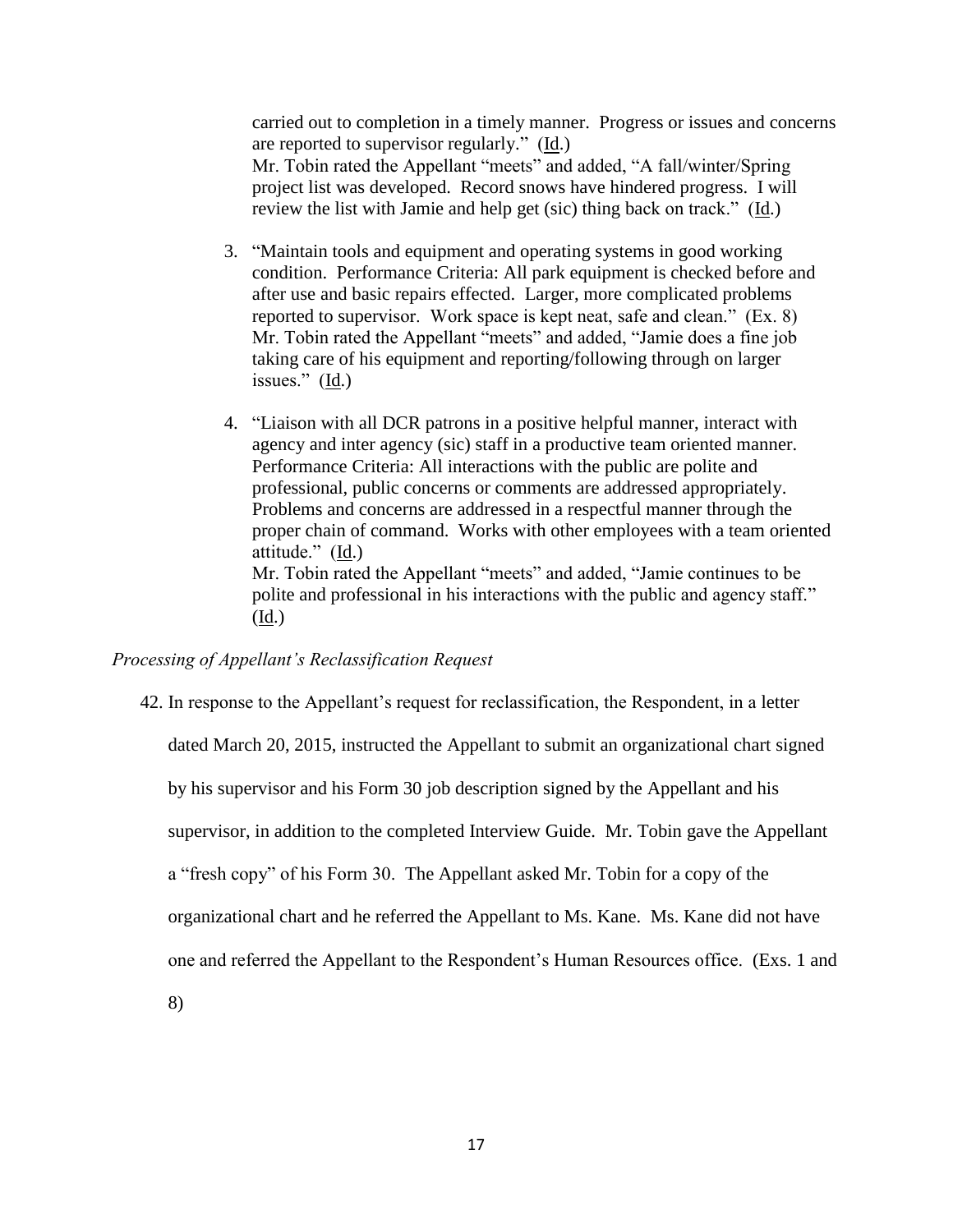carried out to completion in a timely manner. Progress or issues and concerns are reported to supervisor regularly." (Id.) Mr. Tobin rated the Appellant "meets" and added, "A fall/winter/Spring project list was developed. Record snows have hindered progress. I will review the list with Jamie and help get (sic) thing back on track." (Id.)

- 3. "Maintain tools and equipment and operating systems in good working condition. Performance Criteria: All park equipment is checked before and after use and basic repairs effected. Larger, more complicated problems reported to supervisor. Work space is kept neat, safe and clean." (Ex. 8) Mr. Tobin rated the Appellant "meets" and added, "Jamie does a fine job taking care of his equipment and reporting/following through on larger issues." (Id.)
- 4. "Liaison with all DCR patrons in a positive helpful manner, interact with agency and inter agency (sic) staff in a productive team oriented manner. Performance Criteria: All interactions with the public are polite and professional, public concerns or comments are addressed appropriately. Problems and concerns are addressed in a respectful manner through the proper chain of command. Works with other employees with a team oriented attitude." (Id.) Mr. Tobin rated the Appellant "meets" and added, "Jamie continues to be polite and professional in his interactions with the public and agency staff." (Id.)

## *Processing of Appellant's Reclassification Request*

42. In response to the Appellant's request for reclassification, the Respondent, in a letter dated March 20, 2015, instructed the Appellant to submit an organizational chart signed by his supervisor and his Form 30 job description signed by the Appellant and his supervisor, in addition to the completed Interview Guide. Mr. Tobin gave the Appellant a "fresh copy" of his Form 30. The Appellant asked Mr. Tobin for a copy of the organizational chart and he referred the Appellant to Ms. Kane. Ms. Kane did not have one and referred the Appellant to the Respondent's Human Resources office. (Exs. 1 and

8)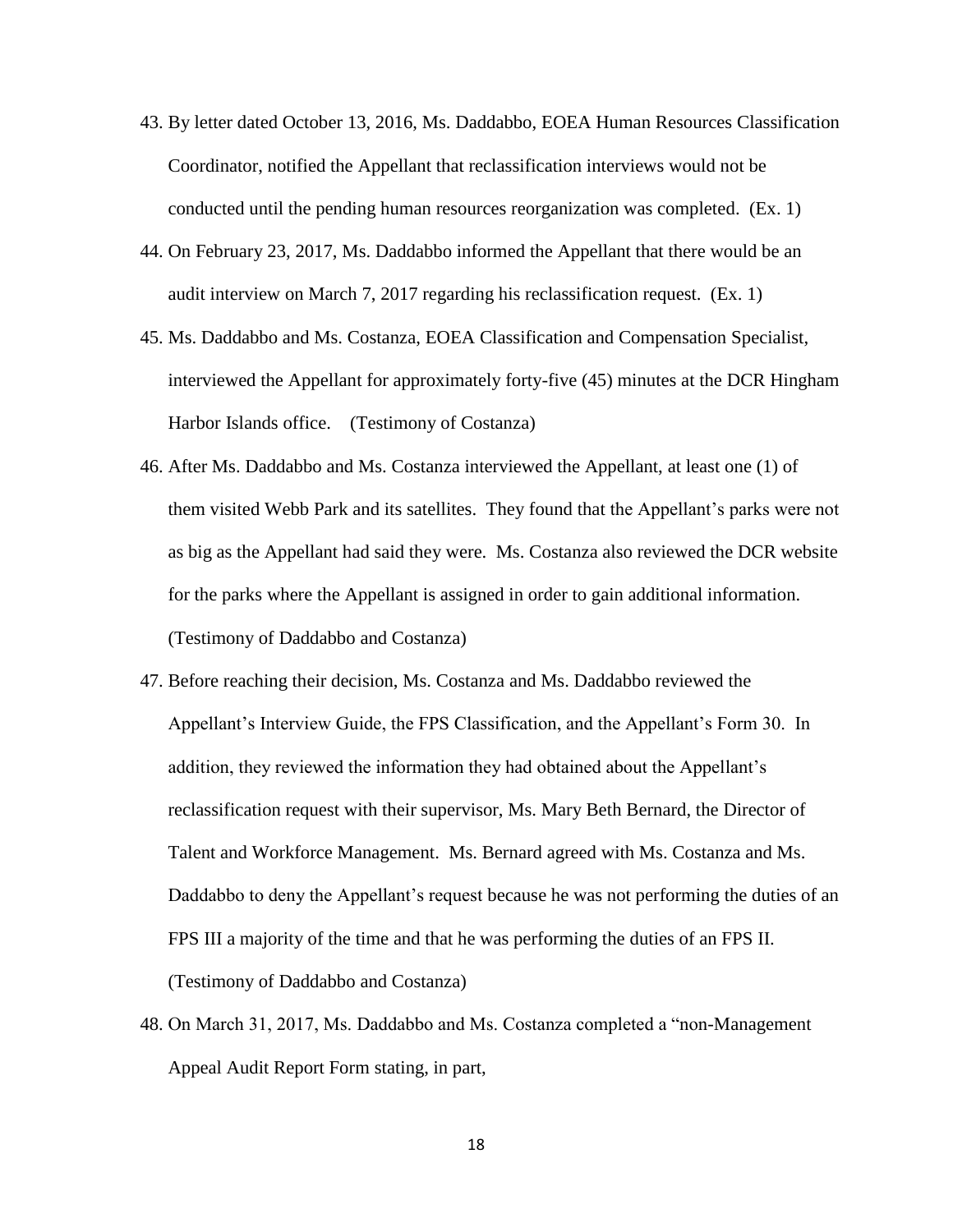- 43. By letter dated October 13, 2016, Ms. Daddabbo, EOEA Human Resources Classification Coordinator, notified the Appellant that reclassification interviews would not be conducted until the pending human resources reorganization was completed. (Ex. 1)
- 44. On February 23, 2017, Ms. Daddabbo informed the Appellant that there would be an audit interview on March 7, 2017 regarding his reclassification request. (Ex. 1)
- 45. Ms. Daddabbo and Ms. Costanza, EOEA Classification and Compensation Specialist, interviewed the Appellant for approximately forty-five (45) minutes at the DCR Hingham Harbor Islands office. (Testimony of Costanza)
- 46. After Ms. Daddabbo and Ms. Costanza interviewed the Appellant, at least one (1) of them visited Webb Park and its satellites. They found that the Appellant's parks were not as big as the Appellant had said they were. Ms. Costanza also reviewed the DCR website for the parks where the Appellant is assigned in order to gain additional information. (Testimony of Daddabbo and Costanza)
- 47. Before reaching their decision, Ms. Costanza and Ms. Daddabbo reviewed the Appellant's Interview Guide, the FPS Classification, and the Appellant's Form 30. In addition, they reviewed the information they had obtained about the Appellant's reclassification request with their supervisor, Ms. Mary Beth Bernard, the Director of Talent and Workforce Management. Ms. Bernard agreed with Ms. Costanza and Ms. Daddabbo to deny the Appellant's request because he was not performing the duties of an FPS III a majority of the time and that he was performing the duties of an FPS II. (Testimony of Daddabbo and Costanza)
- 48. On March 31, 2017, Ms. Daddabbo and Ms. Costanza completed a "non-Management Appeal Audit Report Form stating, in part,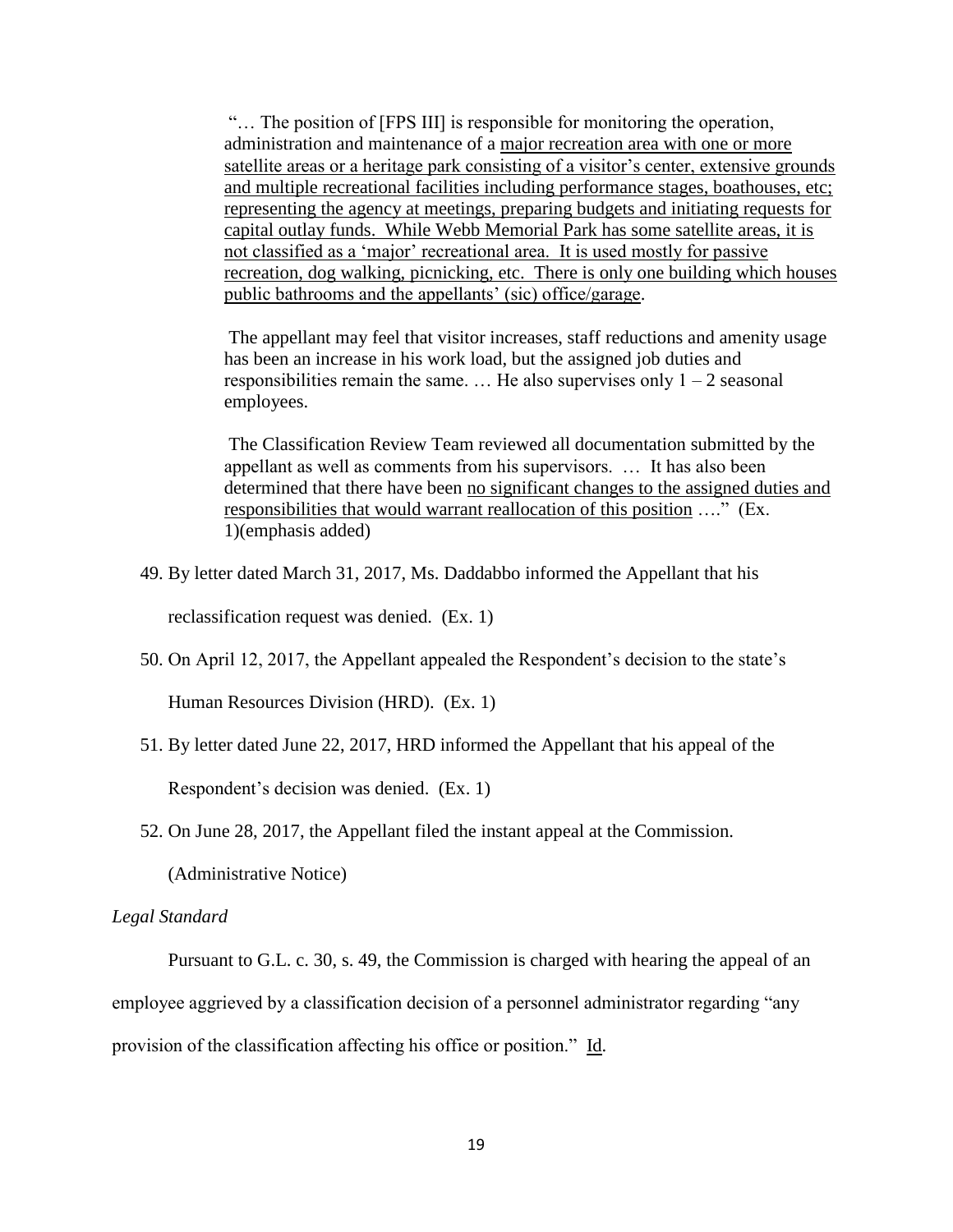"… The position of [FPS III] is responsible for monitoring the operation, administration and maintenance of a major recreation area with one or more satellite areas or a heritage park consisting of a visitor's center, extensive grounds and multiple recreational facilities including performance stages, boathouses, etc; representing the agency at meetings, preparing budgets and initiating requests for capital outlay funds. While Webb Memorial Park has some satellite areas, it is not classified as a 'major' recreational area. It is used mostly for passive recreation, dog walking, picnicking, etc. There is only one building which houses public bathrooms and the appellants' (sic) office/garage.

The appellant may feel that visitor increases, staff reductions and amenity usage has been an increase in his work load, but the assigned job duties and responsibilities remain the same. ... He also supervises only  $1 - 2$  seasonal employees.

The Classification Review Team reviewed all documentation submitted by the appellant as well as comments from his supervisors. … It has also been determined that there have been no significant changes to the assigned duties and responsibilities that would warrant reallocation of this position …." (Ex. 1)(emphasis added)

49. By letter dated March 31, 2017, Ms. Daddabbo informed the Appellant that his

reclassification request was denied. (Ex. 1)

50. On April 12, 2017, the Appellant appealed the Respondent's decision to the state's

Human Resources Division (HRD). (Ex. 1)

51. By letter dated June 22, 2017, HRD informed the Appellant that his appeal of the

Respondent's decision was denied. (Ex. 1)

52. On June 28, 2017, the Appellant filed the instant appeal at the Commission.

(Administrative Notice)

## *Legal Standard*

Pursuant to G.L. c. 30, s. 49, the Commission is charged with hearing the appeal of an employee aggrieved by a classification decision of a personnel administrator regarding "any provision of the classification affecting his office or position." Id.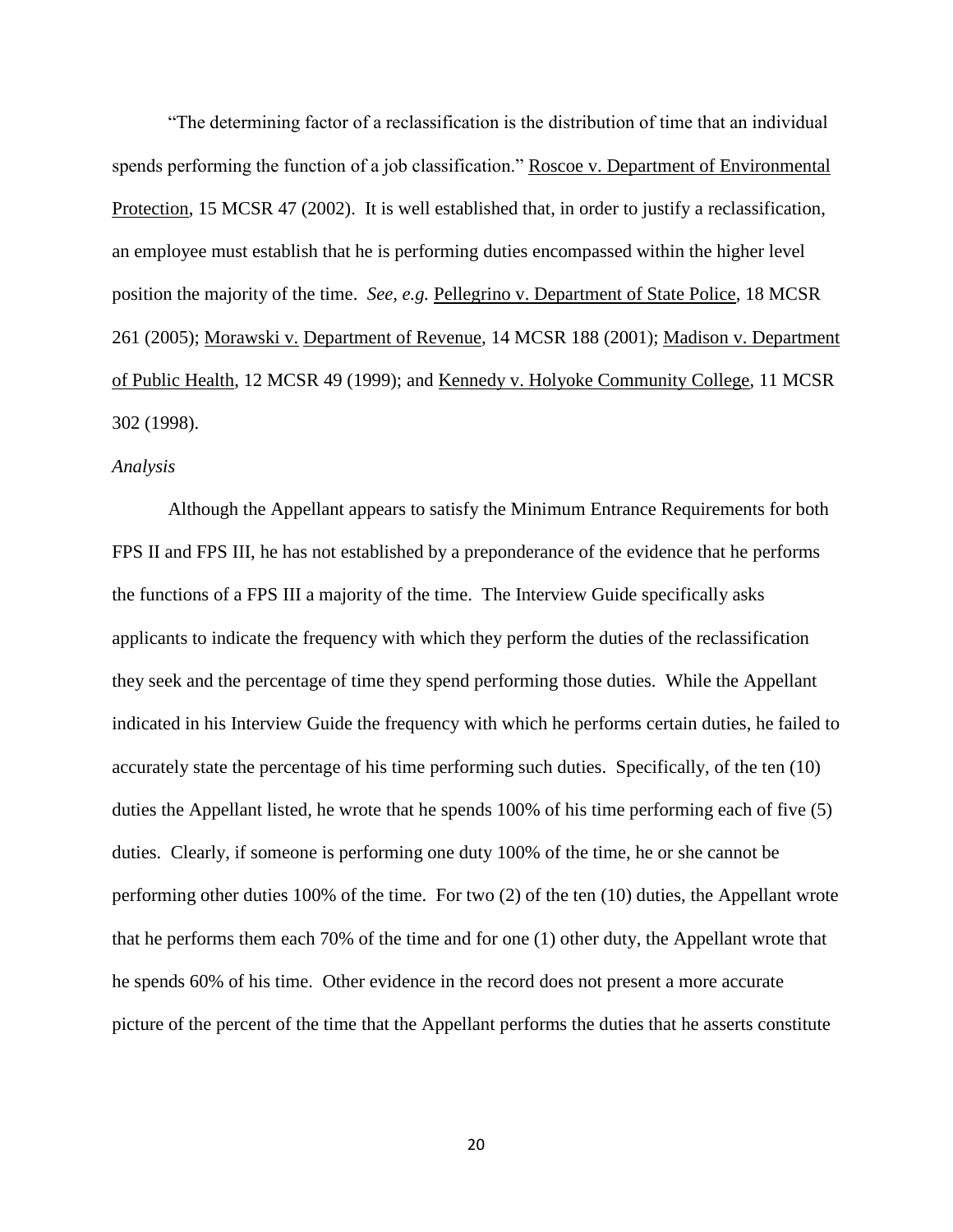"The determining factor of a reclassification is the distribution of time that an individual spends performing the function of a job classification." Roscoe v. Department of Environmental Protection, 15 MCSR 47 (2002). It is well established that, in order to justify a reclassification, an employee must establish that he is performing duties encompassed within the higher level position the majority of the time. *See, e.g.* Pellegrino v. Department of State Police, 18 MCSR 261 (2005); Morawski v. Department of Revenue, 14 MCSR 188 (2001); Madison v. Department of Public Health, 12 MCSR 49 (1999); and Kennedy v. Holyoke Community College, 11 MCSR 302 (1998).

#### *Analysis*

Although the Appellant appears to satisfy the Minimum Entrance Requirements for both FPS II and FPS III, he has not established by a preponderance of the evidence that he performs the functions of a FPS III a majority of the time. The Interview Guide specifically asks applicants to indicate the frequency with which they perform the duties of the reclassification they seek and the percentage of time they spend performing those duties. While the Appellant indicated in his Interview Guide the frequency with which he performs certain duties, he failed to accurately state the percentage of his time performing such duties. Specifically, of the ten (10) duties the Appellant listed, he wrote that he spends 100% of his time performing each of five (5) duties. Clearly, if someone is performing one duty 100% of the time, he or she cannot be performing other duties 100% of the time. For two (2) of the ten (10) duties, the Appellant wrote that he performs them each 70% of the time and for one (1) other duty, the Appellant wrote that he spends 60% of his time. Other evidence in the record does not present a more accurate picture of the percent of the time that the Appellant performs the duties that he asserts constitute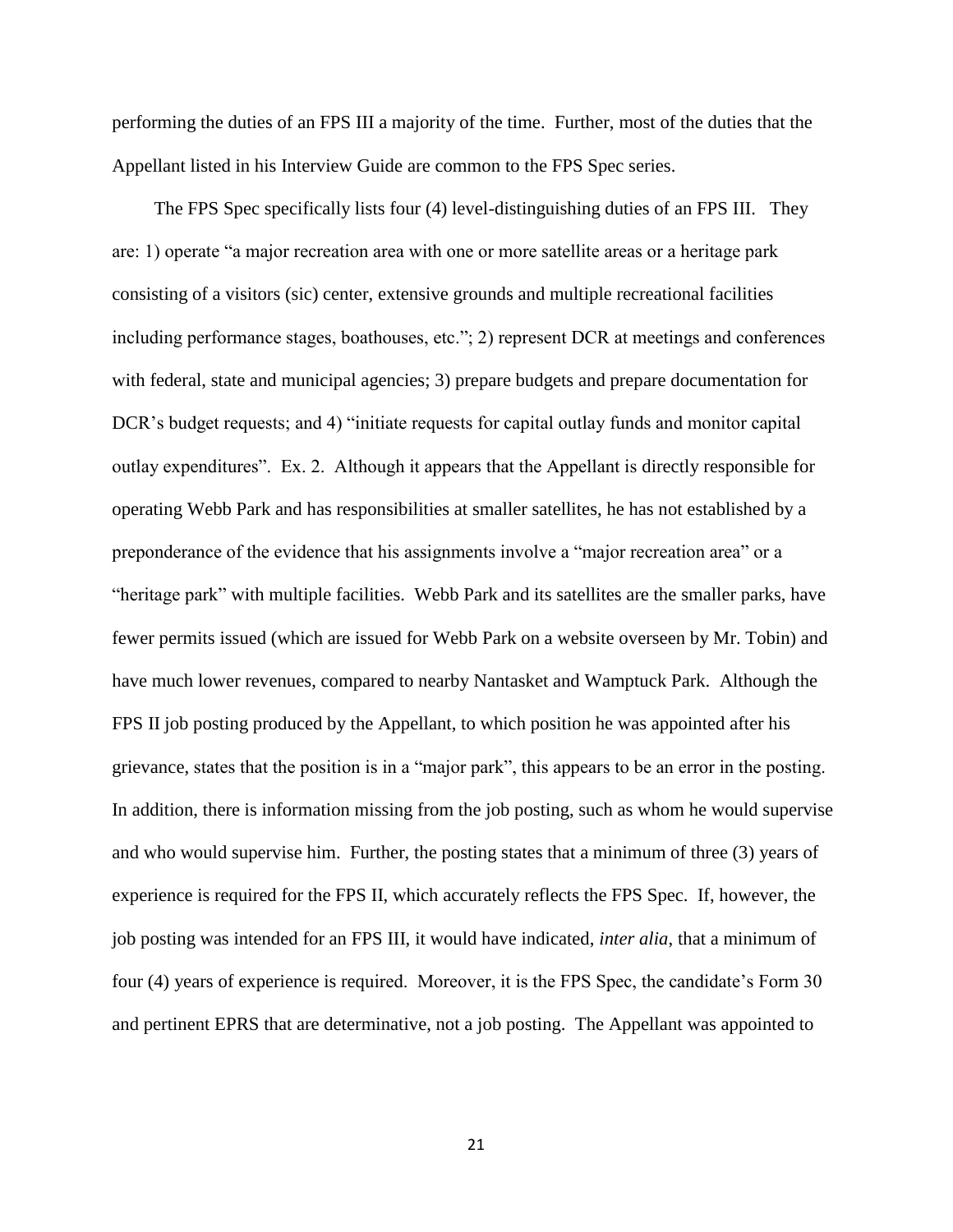performing the duties of an FPS III a majority of the time. Further, most of the duties that the Appellant listed in his Interview Guide are common to the FPS Spec series.

 The FPS Spec specifically lists four (4) level-distinguishing duties of an FPS III. They are: 1) operate "a major recreation area with one or more satellite areas or a heritage park consisting of a visitors (sic) center, extensive grounds and multiple recreational facilities including performance stages, boathouses, etc."; 2) represent DCR at meetings and conferences with federal, state and municipal agencies; 3) prepare budgets and prepare documentation for DCR's budget requests; and 4) "initiate requests for capital outlay funds and monitor capital outlay expenditures". Ex. 2. Although it appears that the Appellant is directly responsible for operating Webb Park and has responsibilities at smaller satellites, he has not established by a preponderance of the evidence that his assignments involve a "major recreation area" or a "heritage park" with multiple facilities. Webb Park and its satellites are the smaller parks, have fewer permits issued (which are issued for Webb Park on a website overseen by Mr. Tobin) and have much lower revenues, compared to nearby Nantasket and Wamptuck Park. Although the FPS II job posting produced by the Appellant, to which position he was appointed after his grievance, states that the position is in a "major park", this appears to be an error in the posting. In addition, there is information missing from the job posting, such as whom he would supervise and who would supervise him. Further, the posting states that a minimum of three (3) years of experience is required for the FPS II, which accurately reflects the FPS Spec. If, however, the job posting was intended for an FPS III, it would have indicated, *inter alia*, that a minimum of four (4) years of experience is required. Moreover, it is the FPS Spec, the candidate's Form 30 and pertinent EPRS that are determinative, not a job posting. The Appellant was appointed to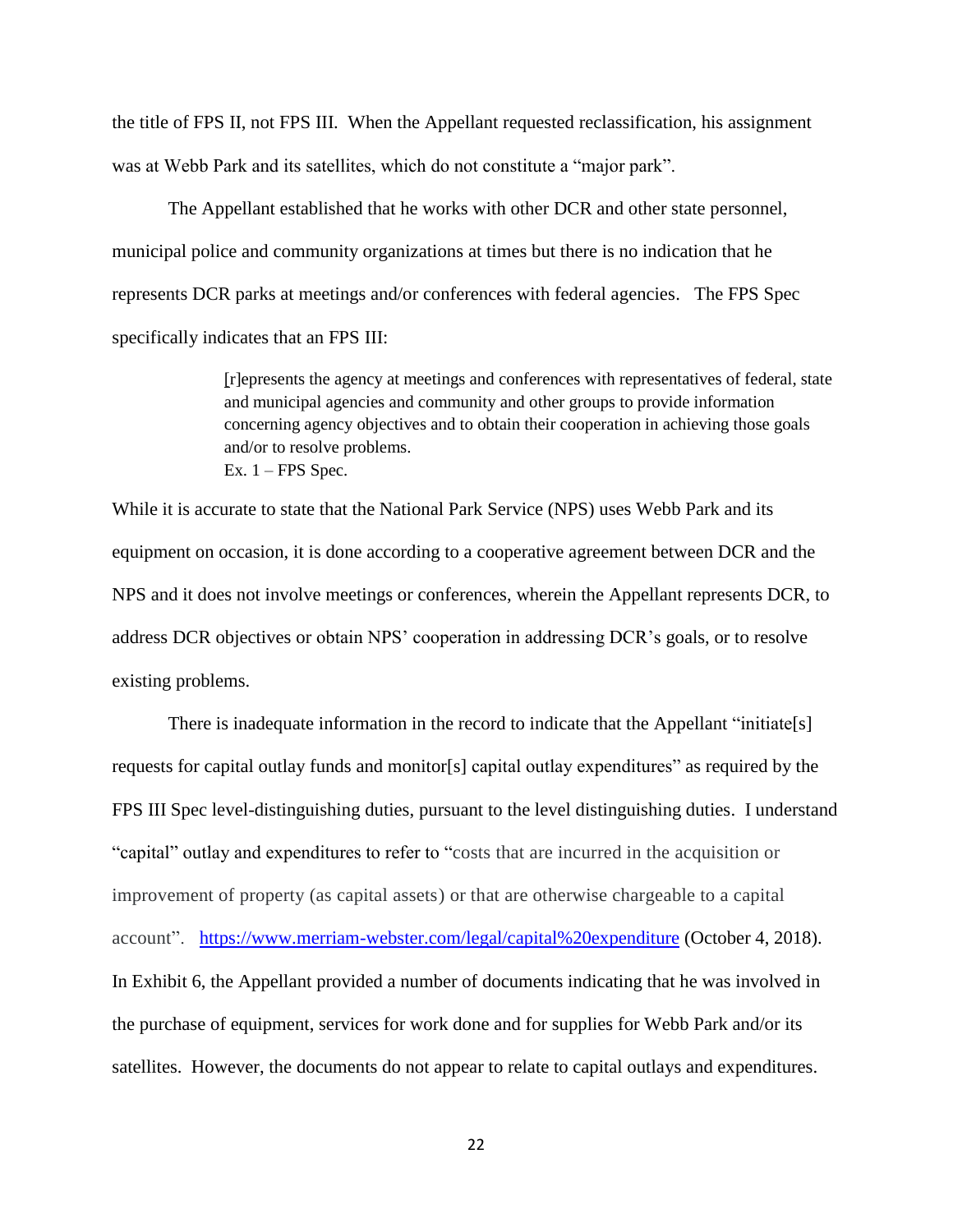the title of FPS II, not FPS III. When the Appellant requested reclassification, his assignment was at Webb Park and its satellites, which do not constitute a "major park".

The Appellant established that he works with other DCR and other state personnel, municipal police and community organizations at times but there is no indication that he represents DCR parks at meetings and/or conferences with federal agencies. The FPS Spec specifically indicates that an FPS III:

> [r]epresents the agency at meetings and conferences with representatives of federal, state and municipal agencies and community and other groups to provide information concerning agency objectives and to obtain their cooperation in achieving those goals and/or to resolve problems. Ex.  $1 - FPS$  Spec.

While it is accurate to state that the National Park Service (NPS) uses Webb Park and its equipment on occasion, it is done according to a cooperative agreement between DCR and the NPS and it does not involve meetings or conferences, wherein the Appellant represents DCR, to address DCR objectives or obtain NPS' cooperation in addressing DCR's goals, or to resolve existing problems.

There is inadequate information in the record to indicate that the Appellant "initiate[s] requests for capital outlay funds and monitor[s] capital outlay expenditures" as required by the FPS III Spec level-distinguishing duties, pursuant to the level distinguishing duties. I understand "capital" outlay and expenditures to refer to "costs that are incurred in the acquisition or improvement of property (as capital assets) or that are otherwise chargeable to a capital account". <https://www.merriam-webster.com/legal/capital%20expenditure> (October 4, 2018). In Exhibit 6, the Appellant provided a number of documents indicating that he was involved in the purchase of equipment, services for work done and for supplies for Webb Park and/or its satellites. However, the documents do not appear to relate to capital outlays and expenditures.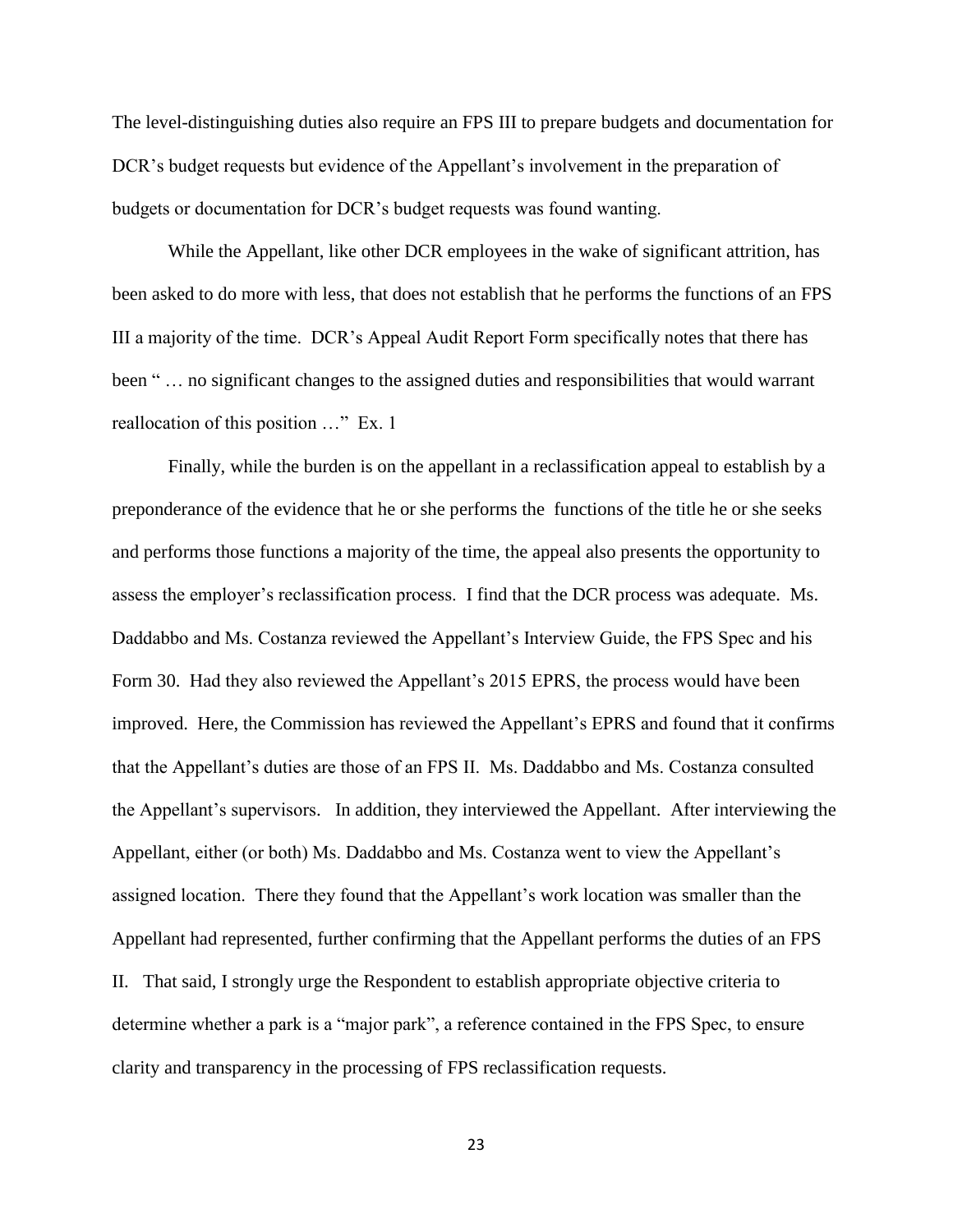The level-distinguishing duties also require an FPS III to prepare budgets and documentation for DCR's budget requests but evidence of the Appellant's involvement in the preparation of budgets or documentation for DCR's budget requests was found wanting.

While the Appellant, like other DCR employees in the wake of significant attrition, has been asked to do more with less, that does not establish that he performs the functions of an FPS III a majority of the time. DCR's Appeal Audit Report Form specifically notes that there has been " … no significant changes to the assigned duties and responsibilities that would warrant reallocation of this position …" Ex. 1

Finally, while the burden is on the appellant in a reclassification appeal to establish by a preponderance of the evidence that he or she performs the functions of the title he or she seeks and performs those functions a majority of the time, the appeal also presents the opportunity to assess the employer's reclassification process. I find that the DCR process was adequate. Ms. Daddabbo and Ms. Costanza reviewed the Appellant's Interview Guide, the FPS Spec and his Form 30. Had they also reviewed the Appellant's 2015 EPRS, the process would have been improved. Here, the Commission has reviewed the Appellant's EPRS and found that it confirms that the Appellant's duties are those of an FPS II. Ms. Daddabbo and Ms. Costanza consulted the Appellant's supervisors. In addition, they interviewed the Appellant. After interviewing the Appellant, either (or both) Ms. Daddabbo and Ms. Costanza went to view the Appellant's assigned location. There they found that the Appellant's work location was smaller than the Appellant had represented, further confirming that the Appellant performs the duties of an FPS II. That said, I strongly urge the Respondent to establish appropriate objective criteria to determine whether a park is a "major park", a reference contained in the FPS Spec, to ensure clarity and transparency in the processing of FPS reclassification requests.